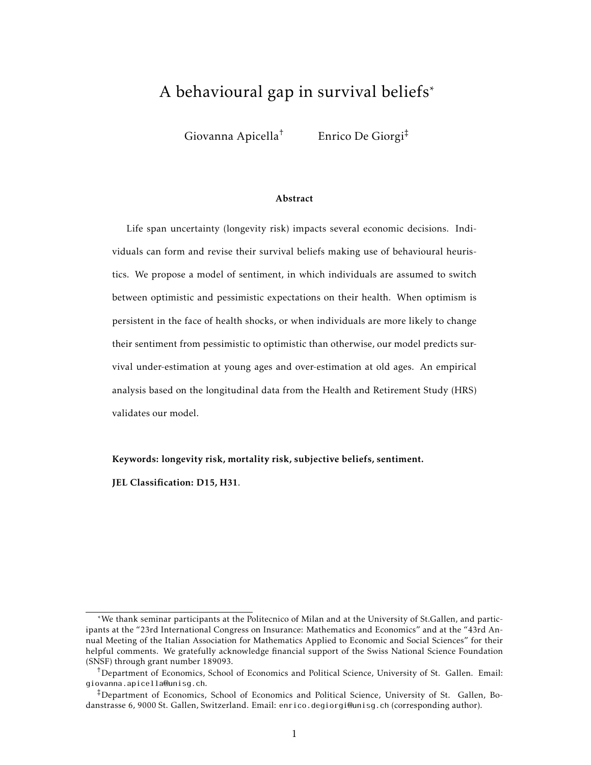# A behavioural gap in survival beliefs\*

Giovanna Apicella† Enrico De Giorgi‡

#### Abstract

Life span uncertainty (longevity risk) impacts several economic decisions. Individuals can form and revise their survival beliefs making use of behavioural heuristics. We propose a model of sentiment, in which individuals are assumed to switch between optimistic and pessimistic expectations on their health. When optimism is persistent in the face of health shocks, or when individuals are more likely to change their sentiment from pessimistic to optimistic than otherwise, our model predicts survival under-estimation at young ages and over-estimation at old ages. An empirical analysis based on the longitudinal data from the Health and Retirement Study (HRS) validates our model.

Keywords: longevity risk, mortality risk, subjective beliefs, sentiment.

JEL Classification: D15, H31.

<sup>\*</sup>We thank seminar participants at the Politecnico of Milan and at the University of St.Gallen, and participants at the "23rd International Congress on Insurance: Mathematics and Economics" and at the "43rd Annual Meeting of the Italian Association for Mathematics Applied to Economic and Social Sciences" for their helpful comments. We gratefully acknowledge financial support of the Swiss National Science Foundation (SNSF) through grant number 189093.

<sup>†</sup>Department of Economics, School of Economics and Political Science, University of St. Gallen. Email: giovanna.apicella@unisg.ch.

<sup>‡</sup>Department of Economics, School of Economics and Political Science, University of St. Gallen, Bodanstrasse 6, 9000 St. Gallen, Switzerland. Email: enrico.degiorgi@unisg.ch (corresponding author).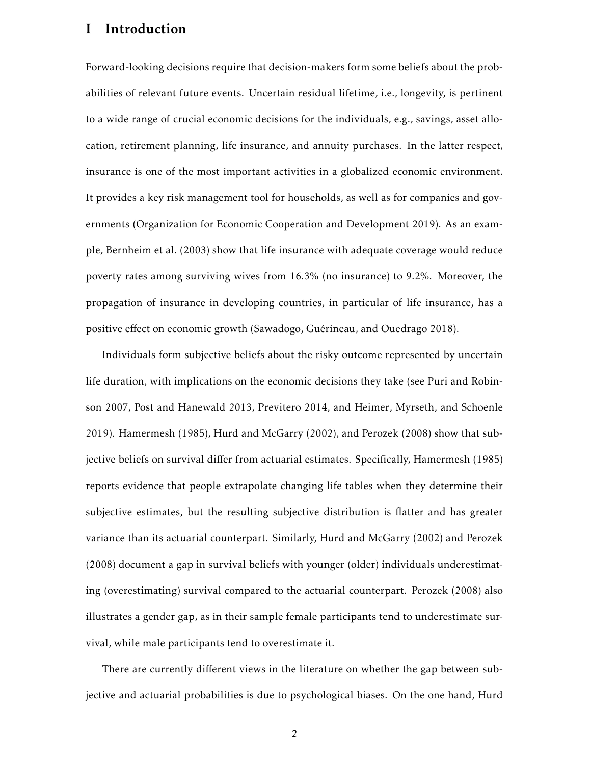## I Introduction

Forward-looking decisions require that decision-makers form some beliefs about the probabilities of relevant future events. Uncertain residual lifetime, i.e., longevity, is pertinent to a wide range of crucial economic decisions for the individuals, e.g., savings, asset allocation, retirement planning, life insurance, and annuity purchases. In the latter respect, insurance is one of the most important activities in a globalized economic environment. It provides a key risk management tool for households, as well as for companies and governments (Organization for Economic Cooperation and Development 2019). As an example, Bernheim et al. (2003) show that life insurance with adequate coverage would reduce poverty rates among surviving wives from 16.3% (no insurance) to 9.2%. Moreover, the propagation of insurance in developing countries, in particular of life insurance, has a positive effect on economic growth (Sawadogo, Guérineau, and Ouedrago 2018).

Individuals form subjective beliefs about the risky outcome represented by uncertain life duration, with implications on the economic decisions they take (see Puri and Robinson 2007, Post and Hanewald 2013, Previtero 2014, and Heimer, Myrseth, and Schoenle 2019). Hamermesh (1985), Hurd and McGarry (2002), and Perozek (2008) show that subjective beliefs on survival differ from actuarial estimates. Specifically, Hamermesh (1985) reports evidence that people extrapolate changing life tables when they determine their subjective estimates, but the resulting subjective distribution is flatter and has greater variance than its actuarial counterpart. Similarly, Hurd and McGarry (2002) and Perozek (2008) document a gap in survival beliefs with younger (older) individuals underestimating (overestimating) survival compared to the actuarial counterpart. Perozek (2008) also illustrates a gender gap, as in their sample female participants tend to underestimate survival, while male participants tend to overestimate it.

There are currently different views in the literature on whether the gap between subjective and actuarial probabilities is due to psychological biases. On the one hand, Hurd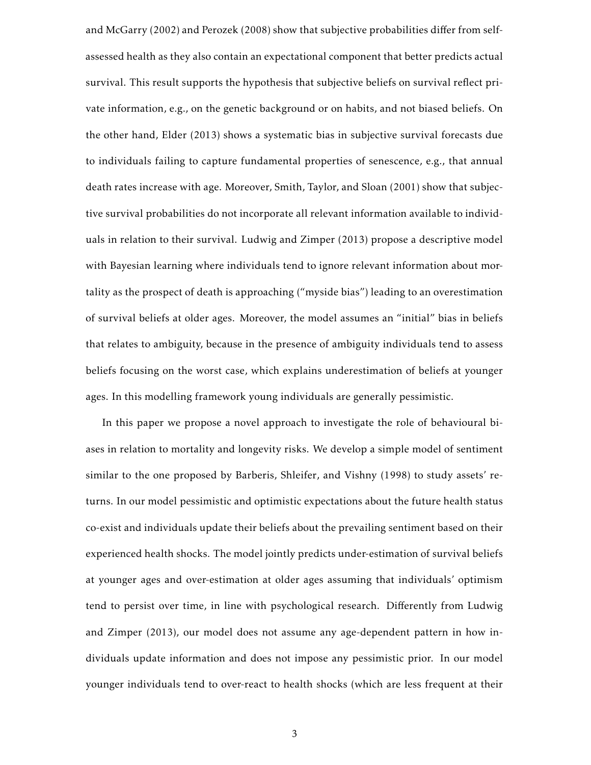and McGarry (2002) and Perozek (2008) show that subjective probabilities differ from selfassessed health as they also contain an expectational component that better predicts actual survival. This result supports the hypothesis that subjective beliefs on survival reflect private information, e.g., on the genetic background or on habits, and not biased beliefs. On the other hand, Elder (2013) shows a systematic bias in subjective survival forecasts due to individuals failing to capture fundamental properties of senescence, e.g., that annual death rates increase with age. Moreover, Smith, Taylor, and Sloan (2001) show that subjective survival probabilities do not incorporate all relevant information available to individuals in relation to their survival. Ludwig and Zimper (2013) propose a descriptive model with Bayesian learning where individuals tend to ignore relevant information about mortality as the prospect of death is approaching ("myside bias") leading to an overestimation of survival beliefs at older ages. Moreover, the model assumes an "initial" bias in beliefs that relates to ambiguity, because in the presence of ambiguity individuals tend to assess beliefs focusing on the worst case, which explains underestimation of beliefs at younger ages. In this modelling framework young individuals are generally pessimistic.

In this paper we propose a novel approach to investigate the role of behavioural biases in relation to mortality and longevity risks. We develop a simple model of sentiment similar to the one proposed by Barberis, Shleifer, and Vishny (1998) to study assets' returns. In our model pessimistic and optimistic expectations about the future health status co-exist and individuals update their beliefs about the prevailing sentiment based on their experienced health shocks. The model jointly predicts under-estimation of survival beliefs at younger ages and over-estimation at older ages assuming that individuals' optimism tend to persist over time, in line with psychological research. Differently from Ludwig and Zimper (2013), our model does not assume any age-dependent pattern in how individuals update information and does not impose any pessimistic prior. In our model younger individuals tend to over-react to health shocks (which are less frequent at their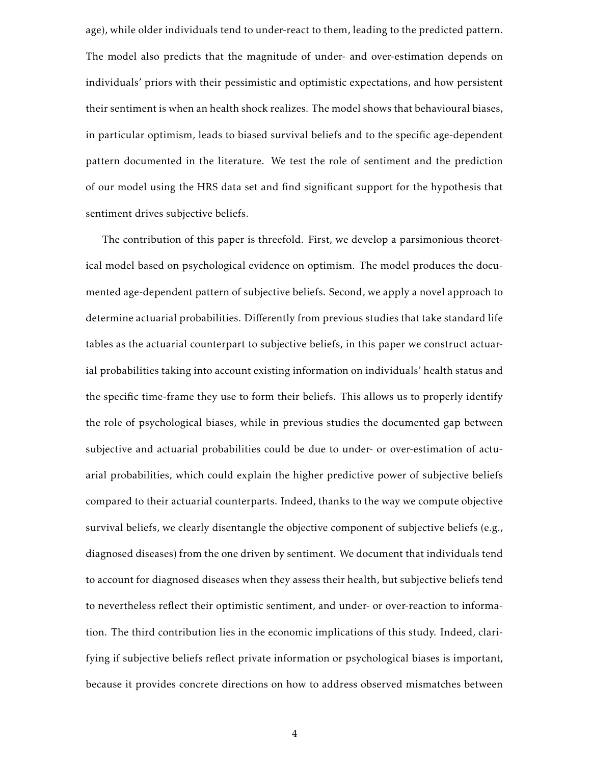age), while older individuals tend to under-react to them, leading to the predicted pattern. The model also predicts that the magnitude of under- and over-estimation depends on individuals' priors with their pessimistic and optimistic expectations, and how persistent their sentiment is when an health shock realizes. The model shows that behavioural biases, in particular optimism, leads to biased survival beliefs and to the specific age-dependent pattern documented in the literature. We test the role of sentiment and the prediction of our model using the HRS data set and find significant support for the hypothesis that sentiment drives subjective beliefs.

The contribution of this paper is threefold. First, we develop a parsimonious theoretical model based on psychological evidence on optimism. The model produces the documented age-dependent pattern of subjective beliefs. Second, we apply a novel approach to determine actuarial probabilities. Differently from previous studies that take standard life tables as the actuarial counterpart to subjective beliefs, in this paper we construct actuarial probabilities taking into account existing information on individuals' health status and the specific time-frame they use to form their beliefs. This allows us to properly identify the role of psychological biases, while in previous studies the documented gap between subjective and actuarial probabilities could be due to under- or over-estimation of actuarial probabilities, which could explain the higher predictive power of subjective beliefs compared to their actuarial counterparts. Indeed, thanks to the way we compute objective survival beliefs, we clearly disentangle the objective component of subjective beliefs (e.g., diagnosed diseases) from the one driven by sentiment. We document that individuals tend to account for diagnosed diseases when they assess their health, but subjective beliefs tend to nevertheless reflect their optimistic sentiment, and under- or over-reaction to information. The third contribution lies in the economic implications of this study. Indeed, clarifying if subjective beliefs reflect private information or psychological biases is important, because it provides concrete directions on how to address observed mismatches between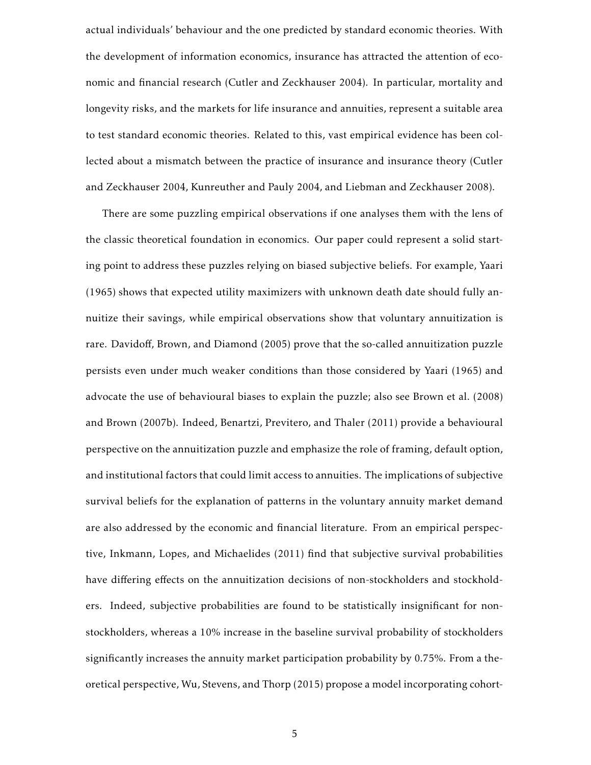actual individuals' behaviour and the one predicted by standard economic theories. With the development of information economics, insurance has attracted the attention of economic and financial research (Cutler and Zeckhauser 2004). In particular, mortality and longevity risks, and the markets for life insurance and annuities, represent a suitable area to test standard economic theories. Related to this, vast empirical evidence has been collected about a mismatch between the practice of insurance and insurance theory (Cutler and Zeckhauser 2004, Kunreuther and Pauly 2004, and Liebman and Zeckhauser 2008).

There are some puzzling empirical observations if one analyses them with the lens of the classic theoretical foundation in economics. Our paper could represent a solid starting point to address these puzzles relying on biased subjective beliefs. For example, Yaari (1965) shows that expected utility maximizers with unknown death date should fully annuitize their savings, while empirical observations show that voluntary annuitization is rare. Davidoff, Brown, and Diamond (2005) prove that the so-called annuitization puzzle persists even under much weaker conditions than those considered by Yaari (1965) and advocate the use of behavioural biases to explain the puzzle; also see Brown et al. (2008) and Brown (2007b). Indeed, Benartzi, Previtero, and Thaler (2011) provide a behavioural perspective on the annuitization puzzle and emphasize the role of framing, default option, and institutional factors that could limit access to annuities. The implications of subjective survival beliefs for the explanation of patterns in the voluntary annuity market demand are also addressed by the economic and financial literature. From an empirical perspective, Inkmann, Lopes, and Michaelides (2011) find that subjective survival probabilities have differing effects on the annuitization decisions of non-stockholders and stockholders. Indeed, subjective probabilities are found to be statistically insignificant for nonstockholders, whereas a 10% increase in the baseline survival probability of stockholders significantly increases the annuity market participation probability by 0.75%. From a theoretical perspective, Wu, Stevens, and Thorp (2015) propose a model incorporating cohort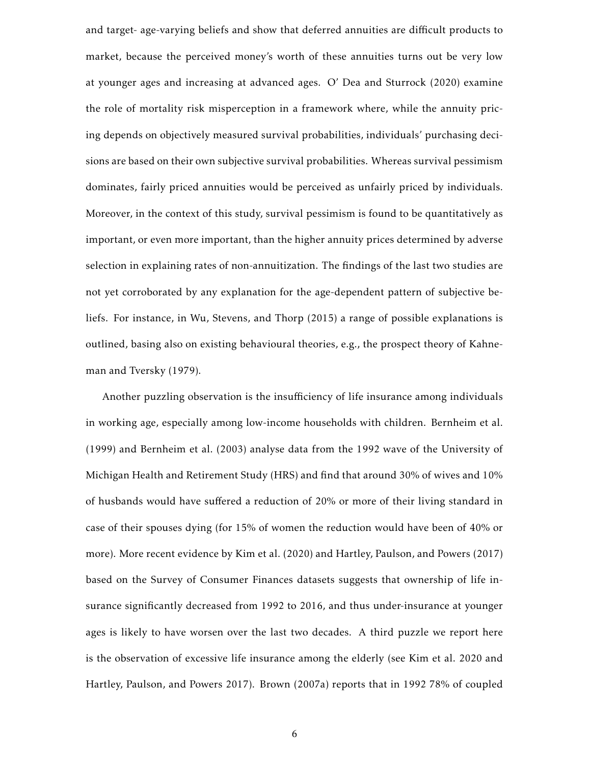and target- age-varying beliefs and show that deferred annuities are difficult products to market, because the perceived money's worth of these annuities turns out be very low at younger ages and increasing at advanced ages. O' Dea and Sturrock (2020) examine the role of mortality risk misperception in a framework where, while the annuity pricing depends on objectively measured survival probabilities, individuals' purchasing decisions are based on their own subjective survival probabilities. Whereas survival pessimism dominates, fairly priced annuities would be perceived as unfairly priced by individuals. Moreover, in the context of this study, survival pessimism is found to be quantitatively as important, or even more important, than the higher annuity prices determined by adverse selection in explaining rates of non-annuitization. The findings of the last two studies are not yet corroborated by any explanation for the age-dependent pattern of subjective beliefs. For instance, in Wu, Stevens, and Thorp (2015) a range of possible explanations is outlined, basing also on existing behavioural theories, e.g., the prospect theory of Kahneman and Tversky (1979).

Another puzzling observation is the insufficiency of life insurance among individuals in working age, especially among low-income households with children. Bernheim et al. (1999) and Bernheim et al. (2003) analyse data from the 1992 wave of the University of Michigan Health and Retirement Study (HRS) and find that around 30% of wives and 10% of husbands would have suffered a reduction of 20% or more of their living standard in case of their spouses dying (for 15% of women the reduction would have been of 40% or more). More recent evidence by Kim et al. (2020) and Hartley, Paulson, and Powers (2017) based on the Survey of Consumer Finances datasets suggests that ownership of life insurance significantly decreased from 1992 to 2016, and thus under-insurance at younger ages is likely to have worsen over the last two decades. A third puzzle we report here is the observation of excessive life insurance among the elderly (see Kim et al. 2020 and Hartley, Paulson, and Powers 2017). Brown (2007a) reports that in 1992 78% of coupled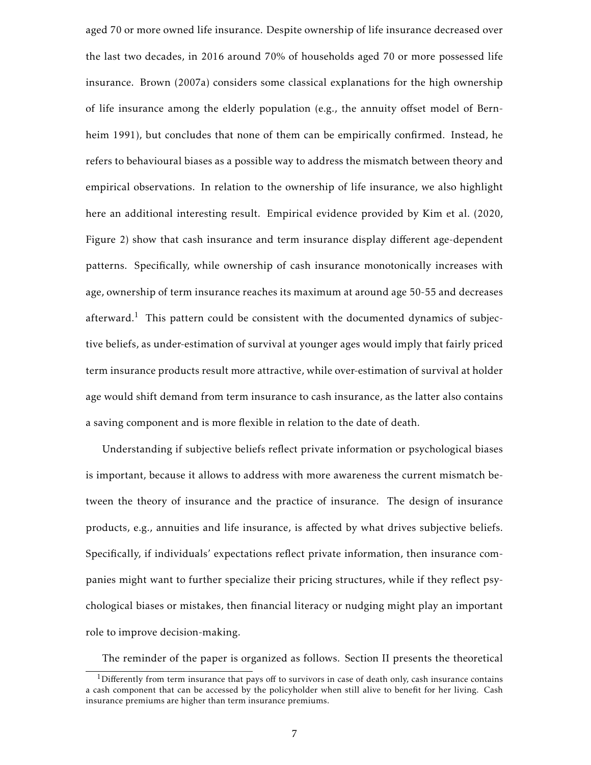aged 70 or more owned life insurance. Despite ownership of life insurance decreased over the last two decades, in 2016 around 70% of households aged 70 or more possessed life insurance. Brown (2007a) considers some classical explanations for the high ownership of life insurance among the elderly population (e.g., the annuity offset model of Bernheim 1991), but concludes that none of them can be empirically confirmed. Instead, he refers to behavioural biases as a possible way to address the mismatch between theory and empirical observations. In relation to the ownership of life insurance, we also highlight here an additional interesting result. Empirical evidence provided by Kim et al. (2020, Figure 2) show that cash insurance and term insurance display different age-dependent patterns. Specifically, while ownership of cash insurance monotonically increases with age, ownership of term insurance reaches its maximum at around age 50-55 and decreases afterward.<sup>1</sup> This pattern could be consistent with the documented dynamics of subjective beliefs, as under-estimation of survival at younger ages would imply that fairly priced term insurance products result more attractive, while over-estimation of survival at holder age would shift demand from term insurance to cash insurance, as the latter also contains a saving component and is more flexible in relation to the date of death.

Understanding if subjective beliefs reflect private information or psychological biases is important, because it allows to address with more awareness the current mismatch between the theory of insurance and the practice of insurance. The design of insurance products, e.g., annuities and life insurance, is affected by what drives subjective beliefs. Specifically, if individuals' expectations reflect private information, then insurance companies might want to further specialize their pricing structures, while if they reflect psychological biases or mistakes, then financial literacy or nudging might play an important role to improve decision-making.

The reminder of the paper is organized as follows. Section II presents the theoretical

<sup>&</sup>lt;sup>1</sup>Differently from term insurance that pays off to survivors in case of death only, cash insurance contains a cash component that can be accessed by the policyholder when still alive to benefit for her living. Cash insurance premiums are higher than term insurance premiums.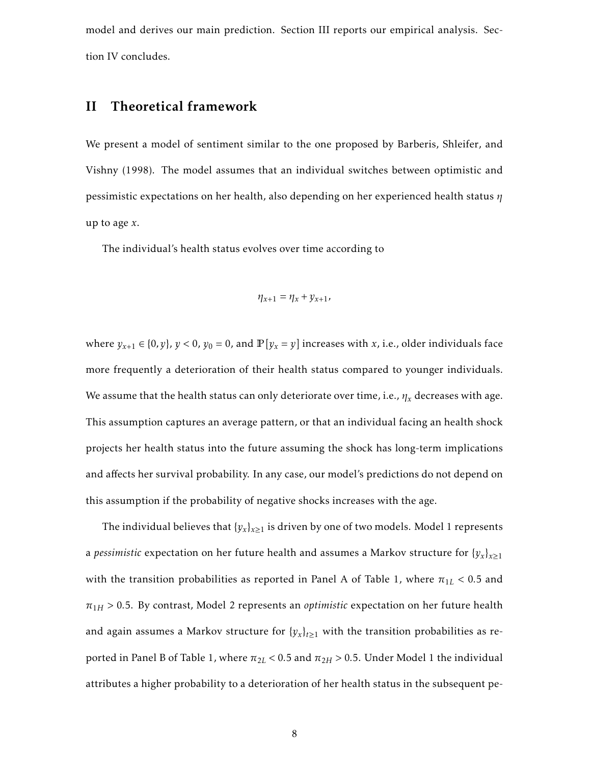model and derives our main prediction. Section III reports our empirical analysis. Section IV concludes.

# II Theoretical framework

We present a model of sentiment similar to the one proposed by Barberis, Shleifer, and Vishny (1998). The model assumes that an individual switches between optimistic and pessimistic expectations on her health, also depending on her experienced health status *η* up to age *x*.

The individual's health status evolves over time according to

$$
\eta_{x+1} = \eta_x + y_{x+1},
$$

where  $y_{x+1} \in \{0, y\}$ ,  $y < 0$ ,  $y_0 = 0$ , and  $\mathbb{P}[y_x = y]$  increases with *x*, i.e., older individuals face more frequently a deterioration of their health status compared to younger individuals. We assume that the health status can only deteriorate over time, i.e.,  $\eta_x$  decreases with age. This assumption captures an average pattern, or that an individual facing an health shock projects her health status into the future assuming the shock has long-term implications and affects her survival probability. In any case, our model's predictions do not depend on this assumption if the probability of negative shocks increases with the age.

The individual believes that  $\{y_x\}_{x \geq 1}$  is driven by one of two models. Model 1 represents a *pessimistic* expectation on her future health and assumes a Markov structure for  $\{y_x\}_{x\geq 1}$ with the transition probabilities as reported in Panel A of Table 1, where  $\pi_{1L}$  < 0.5 and  $\pi_{1H}$  > 0.5. By contrast, Model 2 represents an *optimistic* expectation on her future health and again assumes a Markov structure for  $\{y_x\}_{t\geq 1}$  with the transition probabilities as reported in Panel B of Table 1, where  $\pi_{2L}$  < 0.5 and  $\pi_{2H}$  > 0.5. Under Model 1 the individual attributes a higher probability to a deterioration of her health status in the subsequent pe-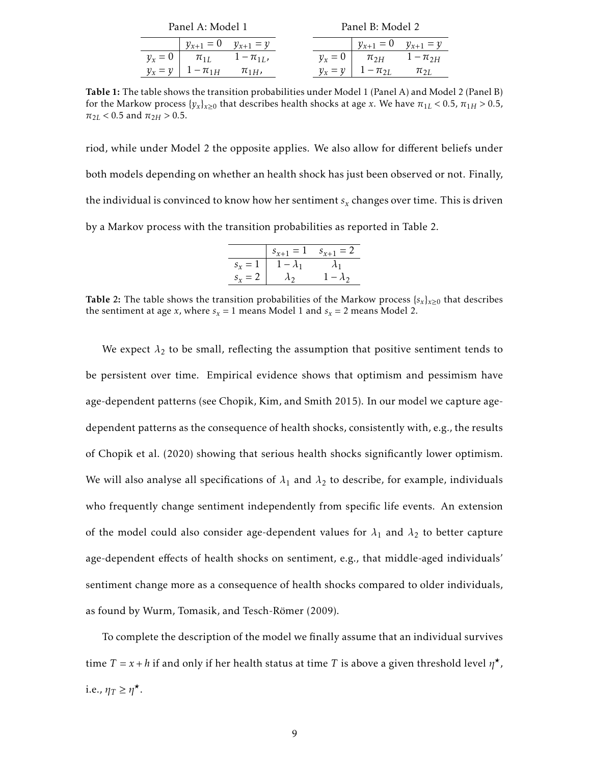| Panel A: Model 1            |                |           | Panel B: Model 2            |                |
|-----------------------------|----------------|-----------|-----------------------------|----------------|
| $y_{x+1} = 0$ $y_{x+1} = y$ |                |           | $y_{x+1} = 0$ $y_{x+1} = y$ |                |
| $v_x = 0$   $\pi_{1L}$      | $1 - \pi_{1L}$ | $v_r = 0$ | $\pi_{2H}$                  | $1 - \pi_{2H}$ |
| $y_x = y \mid 1 - \pi_{1H}$ | $\pi_{1H}$     | $v_x = v$ | $1 - \pi_{2L}$              | $\pi_{2L}$     |

Table 1: The table shows the transition probabilities under Model 1 (Panel A) and Model 2 (Panel B) for the Markow process  $\{y_x\}_{x\geq 0}$  that describes health shocks at age *x*. We have  $\pi_{1L}$  < 0.5,  $\pi_{1H}$  > 0.5,  $\pi_{2L}$  < 0.5 and  $\pi_{2H}$  > 0.5.

riod, while under Model 2 the opposite applies. We also allow for different beliefs under both models depending on whether an health shock has just been observed or not. Finally, the individual is convinced to know how her sentiment *s<sup>x</sup>* changes over time. This is driven by a Markov process with the transition probabilities as reported in Table 2.

|           | $s_{x+1} = 1$ | $s_{x+1} = 2$ |
|-----------|---------------|---------------|
| $s_r = 1$ | $- \lambda_1$ |               |
| $s_r = 2$ |               | $-\lambda_2$  |

Table 2: The table shows the transition probabilities of the Markow process  $\{s_x\}_{x\geq 0}$  that describes the sentiment at age *x*, where  $s_x = 1$  means Model 1 and  $s_x = 2$  means Model 2.

We expect  $\lambda_2$  to be small, reflecting the assumption that positive sentiment tends to be persistent over time. Empirical evidence shows that optimism and pessimism have age-dependent patterns (see Chopik, Kim, and Smith 2015). In our model we capture agedependent patterns as the consequence of health shocks, consistently with, e.g., the results of Chopik et al. (2020) showing that serious health shocks significantly lower optimism. We will also analyse all specifications of  $\lambda_1$  and  $\lambda_2$  to describe, for example, individuals who frequently change sentiment independently from specific life events. An extension of the model could also consider age-dependent values for  $\lambda_1$  and  $\lambda_2$  to better capture age-dependent effects of health shocks on sentiment, e.g., that middle-aged individuals' sentiment change more as a consequence of health shocks compared to older individuals, as found by Wurm, Tomasik, and Tesch-Römer (2009).

To complete the description of the model we finally assume that an individual survives time  $T = x + h$  if and only if her health status at time *T* is above a given threshold level  $\eta^{\star}$ , i.e.,  $\eta_T \geq \eta^*$ .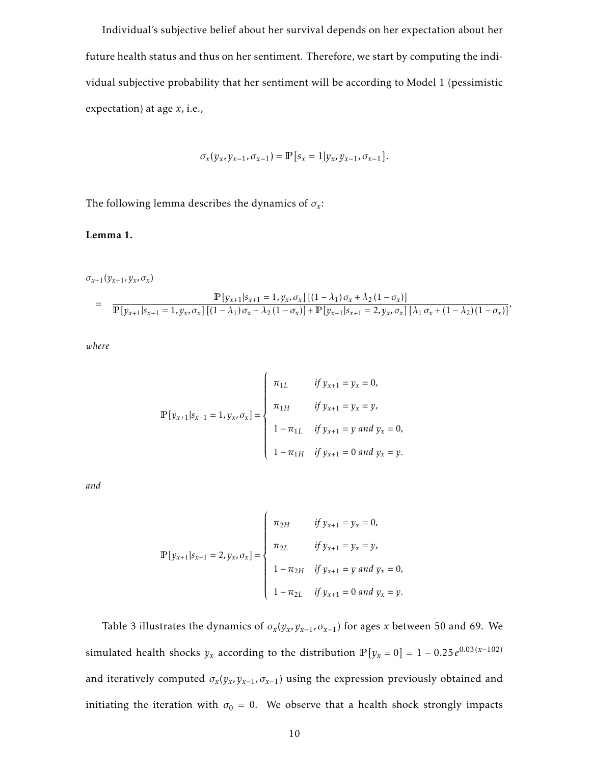Individual's subjective belief about her survival depends on her expectation about her future health status and thus on her sentiment. Therefore, we start by computing the individual subjective probability that her sentiment will be according to Model 1 (pessimistic expectation) at age *x*, i.e.,

$$
\sigma_x(y_x, y_{x-1}, \sigma_{x-1}) = \mathbb{P}\left[s_x = 1 | y_x, y_{x-1}, \sigma_{x-1}\right].
$$

The following lemma describes the dynamics of  $\sigma_x$ :

#### Lemma 1.

*σ*<sub>*x*+1</sub>(*y*<sub>*x*+1</sub>, *y*<sub>*x*</sub>, *σ*<sub>*x*</sub>)

$$
= \frac{\mathbb{P}[y_{x+1}|s_{x+1} = 1, y_x, \sigma_x] [(1 - \lambda_1) \sigma_x + \lambda_2 (1 - \sigma_x)]}{\mathbb{P}[y_{x+1}|s_{x+1} = 1, y_x, \sigma_x] [(1 - \lambda_1) \sigma_x + \lambda_2 (1 - \sigma_x)] + \mathbb{P}[y_{x+1}|s_{x+1} = 2, y_x, \sigma_x] [\lambda_1 \sigma_x + (1 - \lambda_2)(1 - \sigma_x)]},
$$

*where*

$$
\mathbb{P}[y_{x+1}|s_{x+1} = 1, y_x, \sigma_x] = \begin{cases} \pi_{1L} & \text{if } y_{x+1} = y_x = 0, \\ \pi_{1H} & \text{if } y_{x+1} = y_x = y, \\ 1 - \pi_{1L} & \text{if } y_{x+1} = y \text{ and } y_x = 0, \\ 1 - \pi_{1H} & \text{if } y_{x+1} = 0 \text{ and } y_x = y. \end{cases}
$$

*and*

$$
\mathbb{P}[y_{x+1}|s_{x+1} = 2, y_x, \sigma_x] = \begin{cases} \pi_{2H} & \text{if } y_{x+1} = y_x = 0, \\ \pi_{2L} & \text{if } y_{x+1} = y_x = y, \\ 1 - \pi_{2H} & \text{if } y_{x+1} = y \text{ and } y_x = 0, \\ 1 - \pi_{2L} & \text{if } y_{x+1} = 0 \text{ and } y_x = y. \end{cases}
$$

Table 3 illustrates the dynamics of  $\sigma_x(y_x, y_{x-1}, \sigma_{x-1})$  for ages *x* between 50 and 69. We simulated health shocks  $y_x$  according to the distribution  $\mathbb{P}\left[y_x = 0\right] = 1 - 0.25\,e^{0.03\,(x-102)}$ and iteratively computed  $\sigma_x(y_x, y_{x-1}, \sigma_{x-1})$  using the expression previously obtained and initiating the iteration with  $\sigma_0 = 0$ . We observe that a health shock strongly impacts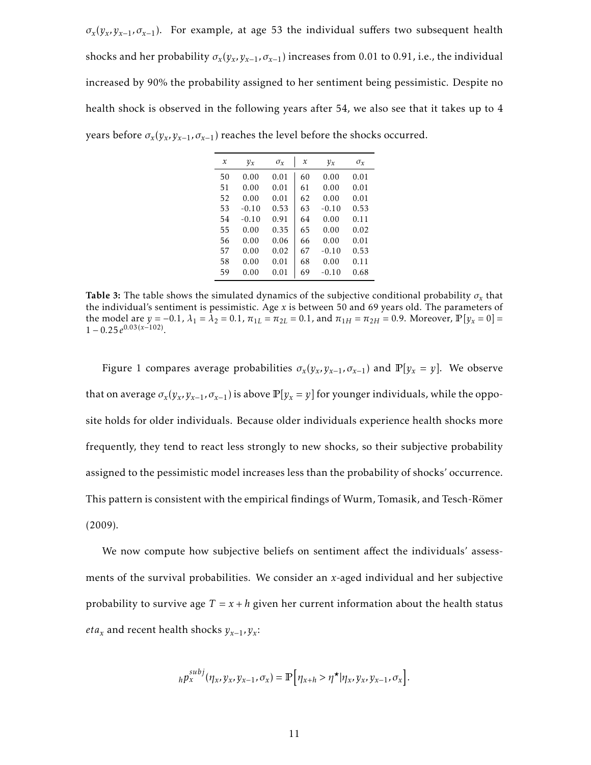$\sigma_x(y_x, y_{x-1}, \sigma_{x-1})$ . For example, at age 53 the individual suffers two subsequent health shocks and her probability  $\sigma_x(y_x, y_{x-1}, \sigma_{x-1})$  increases from 0.01 to 0.91, i.e., the individual increased by 90% the probability assigned to her sentiment being pessimistic. Despite no health shock is observed in the following years after 54, we also see that it takes up to 4 years before  $\sigma_x(y_x, y_{x-1}, \sigma_{x-1})$  reaches the level before the shocks occurred.

| x  | $y_x$   | $\sigma_x$ | $\mathcal{X}$ | $y_x$   | $\sigma_x$ |
|----|---------|------------|---------------|---------|------------|
| 50 | 0.00    | 0.01       | 60            | 0.00    | 0.01       |
| 51 | 0.00    | 0.01       | 61            | 0.00    | 0.01       |
| 52 | 0.00    | 0.01       | 62            | 0.00    | 0.01       |
| 53 | $-0.10$ | 0.53       | 63            | $-0.10$ | 0.53       |
| 54 | $-0.10$ | 0.91       | 64            | 0.00    | 0.11       |
| 55 | 0.00    | 0.35       | 65            | 0.00    | 0.02       |
| 56 | 0.00    | 0.06       | 66            | 0.00    | 0.01       |
| 57 | 0.00    | 0.02       | 67            | $-0.10$ | 0.53       |
| 58 | 0.00    | 0.01       | 68            | 0.00    | 0.11       |
| 59 | 0.00    | 0.01       | 69            | $-0.10$ | 0.68       |

**Table 3:** The table shows the simulated dynamics of the subjective conditional probability  $\sigma_x$  that the individual's sentiment is pessimistic. Age *x* is between 50 and 69 years old. The parameters of the model are  $y = -0.1$ ,  $\lambda_1 = \lambda_2 = 0.1$ ,  $\pi_{1L} = \pi_{2L} = 0.1$ , and  $\pi_{1H} = \pi_{2H} = 0.9$ . Moreover,  $\mathbb{P}[y_x = 0] =$  $1 - 0.25e^{0.03(x-102)}$ .

Figure 1 compares average probabilities  $\sigma_x(y_x, y_{x-1}, \sigma_{x-1})$  and  $\mathbb{P}[y_x = y]$ . We observe that on average  $\sigma_x(y_x, y_{x-1}, \sigma_{x-1})$  is above  $\mathbb{P}[y_x = y]$  for younger individuals, while the opposite holds for older individuals. Because older individuals experience health shocks more frequently, they tend to react less strongly to new shocks, so their subjective probability assigned to the pessimistic model increases less than the probability of shocks' occurrence. This pattern is consistent with the empirical findings of Wurm, Tomasik, and Tesch-Römer (2009).

We now compute how subjective beliefs on sentiment affect the individuals' assessments of the survival probabilities. We consider an *x*-aged individual and her subjective probability to survive age  $T = x + h$  given her current information about the health status *eta<sup>x</sup>* and recent health shocks *yx*−1*,y<sup>x</sup>* :

$$
{}_h p_x^{subj}(\eta_x, y_x, y_{x-1}, \sigma_x) = \mathbb{P}\Big[\eta_{x+h} > \eta^\star | \eta_x, y_x, y_{x-1}, \sigma_x\Big].
$$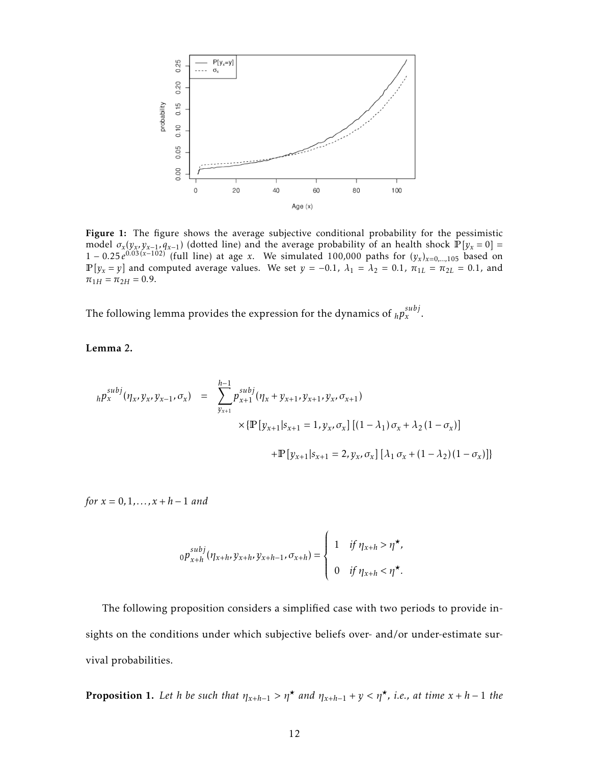

Figure 1: The figure shows the average subjective conditional probability for the pessimistic model  $\sigma_x(y_x, y_{x-1}, q_{x-1})$  (dotted line) and the average probability of an health shock  $\mathbb{P}[y_x = 0] =$ 1 − 0.25 $e^{0.03(x-10z)^{x}}$  (full line) at age *x*. We simulated 100,000 paths for  $(y_x)_{x=0,...,105}$  based on  $\mathbb{P}[y_x = y]$  and computed average values. We set  $y = -0.1$ ,  $\lambda_1 = \lambda_2 = 0.1$ ,  $\pi_{1L} = \pi_{2L} = 0.1$ , and  $\pi_{1H} = \pi_{2H} = 0.9.$ 

The following lemma provides the expression for the dynamics of  $_h p_x^{subj}$ .

Lemma 2.

$$
h p_x^{subj}(\eta_x, y_x, y_{x-1}, \sigma_x) = \sum_{y_{x+1}}^{h-1} p_{x+1}^{subj}(\eta_x + y_{x+1}, y_{x+1}, y_x, \sigma_{x+1})
$$
  
 
$$
\times \{ \mathbb{P}[y_{x+1}|s_{x+1} = 1, y_x, \sigma_x] [(1 - \lambda_1) \sigma_x + \lambda_2 (1 - \sigma_x)]
$$
  
 
$$
+ \mathbb{P}[y_{x+1}|s_{x+1} = 2, y_x, \sigma_x] [\lambda_1 \sigma_x + (1 - \lambda_2)(1 - \sigma_x)] \}
$$

*for x* = 0*,*1*,..., x* + *h* − 1 *and*

$$
{}_0p_{x+h}^{subj}(\eta_{x+h}, y_{x+h}, y_{x+h-1}, \sigma_{x+h}) = \begin{cases} 1 & \text{if } \eta_{x+h} > \eta^{\star}, \\ 0 & \text{if } \eta_{x+h} < \eta^{\star}. \end{cases}
$$

The following proposition considers a simplified case with two periods to provide insights on the conditions under which subjective beliefs over- and/or under-estimate survival probabilities.

**Proposition 1.** Let *h* be such that  $\eta_{x+h-1} > \eta^*$  and  $\eta_{x+h-1} + y < \eta^*$ , i.e., at time  $x + h - 1$  the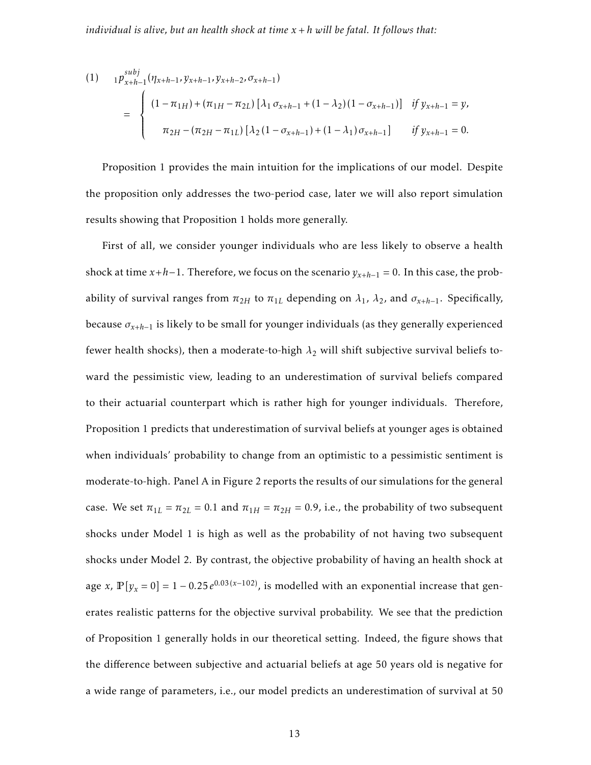$$
(1) \t_{1} p_{x+h-1}^{subj}(\eta_{x+h-1}, y_{x+h-1}, y_{x+h-2}, \sigma_{x+h-1})
$$
  
= 
$$
\begin{cases} (1 - \pi_{1H}) + (\pi_{1H} - \pi_{2L}) [\lambda_1 \sigma_{x+h-1} + (1 - \lambda_2)(1 - \sigma_{x+h-1})] & \text{if } y_{x+h-1} = y, \\ \pi_{2H} - (\pi_{2H} - \pi_{1L}) [\lambda_2 (1 - \sigma_{x+h-1}) + (1 - \lambda_1) \sigma_{x+h-1}] & \text{if } y_{x+h-1} = 0. \end{cases}
$$

Proposition 1 provides the main intuition for the implications of our model. Despite the proposition only addresses the two-period case, later we will also report simulation results showing that Proposition 1 holds more generally.

First of all, we consider younger individuals who are less likely to observe a health shock at time  $x+h-1$ . Therefore, we focus on the scenario  $y_{x+h-1} = 0$ . In this case, the probability of survival ranges from  $\pi_{2H}$  to  $\pi_{1L}$  depending on  $\lambda_1$ ,  $\lambda_2$ , and  $\sigma_{x+h-1}$ . Specifically, because  $\sigma_{x+h-1}$  is likely to be small for younger individuals (as they generally experienced fewer health shocks), then a moderate-to-high  $\lambda_2$  will shift subjective survival beliefs toward the pessimistic view, leading to an underestimation of survival beliefs compared to their actuarial counterpart which is rather high for younger individuals. Therefore, Proposition 1 predicts that underestimation of survival beliefs at younger ages is obtained when individuals' probability to change from an optimistic to a pessimistic sentiment is moderate-to-high. Panel A in Figure 2 reports the results of our simulations for the general case. We set  $\pi_{1L} = \pi_{2L} = 0.1$  and  $\pi_{1H} = \pi_{2H} = 0.9$ , i.e., the probability of two subsequent shocks under Model 1 is high as well as the probability of not having two subsequent shocks under Model 2. By contrast, the objective probability of having an health shock at age *x*,  $\mathbb{P}[y_x = 0] = 1 - 0.25 e^{0.03(x-102)}$ , is modelled with an exponential increase that generates realistic patterns for the objective survival probability. We see that the prediction of Proposition 1 generally holds in our theoretical setting. Indeed, the figure shows that the difference between subjective and actuarial beliefs at age 50 years old is negative for a wide range of parameters, i.e., our model predicts an underestimation of survival at 50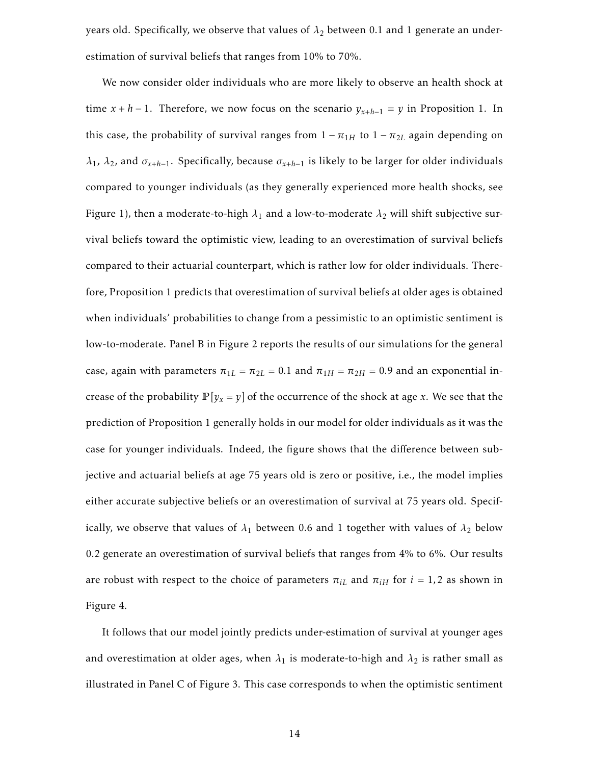years old. Specifically, we observe that values of  $\lambda_2$  between 0.1 and 1 generate an underestimation of survival beliefs that ranges from 10% to 70%.

We now consider older individuals who are more likely to observe an health shock at time  $x + h - 1$ . Therefore, we now focus on the scenario  $y_{x+h-1} = y$  in Proposition 1. In this case, the probability of survival ranges from  $1 - \pi_{1H}$  to  $1 - \pi_{2L}$  again depending on *λ*<sub>1</sub>, *λ*<sub>2</sub>, and *σ*<sub>*x*+*h*−1</sub>. Specifically, because  $σ$ <sub>*x*+*h*−1</sub> is likely to be larger for older individuals compared to younger individuals (as they generally experienced more health shocks, see Figure 1), then a moderate-to-high  $\lambda_1$  and a low-to-moderate  $\lambda_2$  will shift subjective survival beliefs toward the optimistic view, leading to an overestimation of survival beliefs compared to their actuarial counterpart, which is rather low for older individuals. Therefore, Proposition 1 predicts that overestimation of survival beliefs at older ages is obtained when individuals' probabilities to change from a pessimistic to an optimistic sentiment is low-to-moderate. Panel B in Figure 2 reports the results of our simulations for the general case, again with parameters  $\pi_{1L} = \pi_{2L} = 0.1$  and  $\pi_{1H} = \pi_{2H} = 0.9$  and an exponential increase of the probability  $\mathbb{P}[y_x = y]$  of the occurrence of the shock at age *x*. We see that the prediction of Proposition 1 generally holds in our model for older individuals as it was the case for younger individuals. Indeed, the figure shows that the difference between subjective and actuarial beliefs at age 75 years old is zero or positive, i.e., the model implies either accurate subjective beliefs or an overestimation of survival at 75 years old. Specifically, we observe that values of  $\lambda_1$  between 0.6 and 1 together with values of  $\lambda_2$  below 0.2 generate an overestimation of survival beliefs that ranges from 4% to 6%. Our results are robust with respect to the choice of parameters  $\pi_{iL}$  and  $\pi_{iH}$  for  $i = 1, 2$  as shown in Figure 4.

It follows that our model jointly predicts under-estimation of survival at younger ages and overestimation at older ages, when  $\lambda_1$  is moderate-to-high and  $\lambda_2$  is rather small as illustrated in Panel C of Figure 3. This case corresponds to when the optimistic sentiment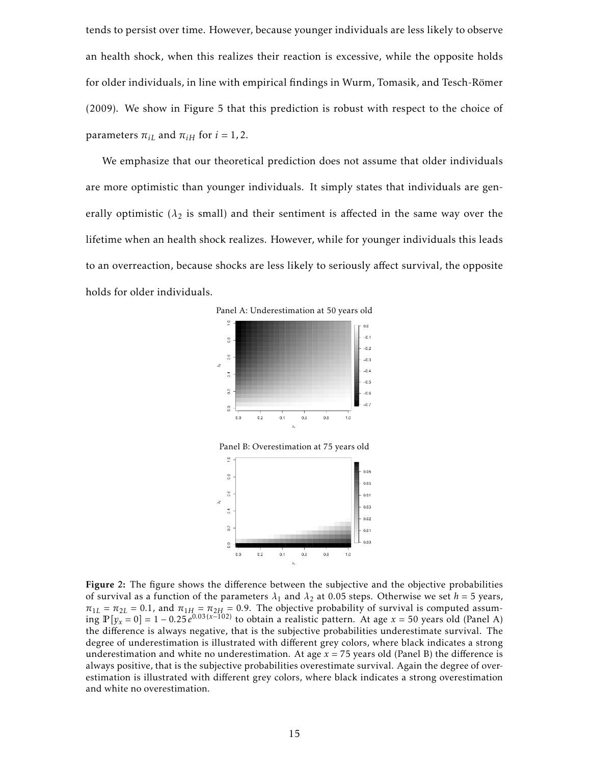tends to persist over time. However, because younger individuals are less likely to observe an health shock, when this realizes their reaction is excessive, while the opposite holds for older individuals, in line with empirical findings in Wurm, Tomasik, and Tesch-Römer (2009). We show in Figure 5 that this prediction is robust with respect to the choice of parameters  $\pi_{iL}$  and  $\pi_{iH}$  for  $i = 1, 2$ .

We emphasize that our theoretical prediction does not assume that older individuals are more optimistic than younger individuals. It simply states that individuals are generally optimistic ( $\lambda_2$  is small) and their sentiment is affected in the same way over the lifetime when an health shock realizes. However, while for younger individuals this leads to an overreaction, because shocks are less likely to seriously affect survival, the opposite holds for older individuals.



Panel B: Overestimation at 75 years old



Figure 2: The figure shows the difference between the subjective and the objective probabilities of survival as a function of the parameters  $\lambda_1$  and  $\lambda_2$  at 0.05 steps. Otherwise we set  $h = 5$  years,  $\pi_{1L} = \pi_{2L} = 0.1$ , and  $\pi_{1H} = \pi_{2H} = 0.9$ . The objective probability of survival is computed assum- $\lim_{x \to \infty}$   $\mathbb{P}[y_x = 0] = 1 - 0.25e^{0.03(x-102)}$  to obtain a realistic pattern. At age  $x = 50$  years old (Panel A) the difference is always negative, that is the subjective probabilities underestimate survival. The degree of underestimation is illustrated with different grey colors, where black indicates a strong underestimation and white no underestimation. At age  $x = 75$  years old (Panel B) the difference is always positive, that is the subjective probabilities overestimate survival. Again the degree of overestimation is illustrated with different grey colors, where black indicates a strong overestimation and white no overestimation.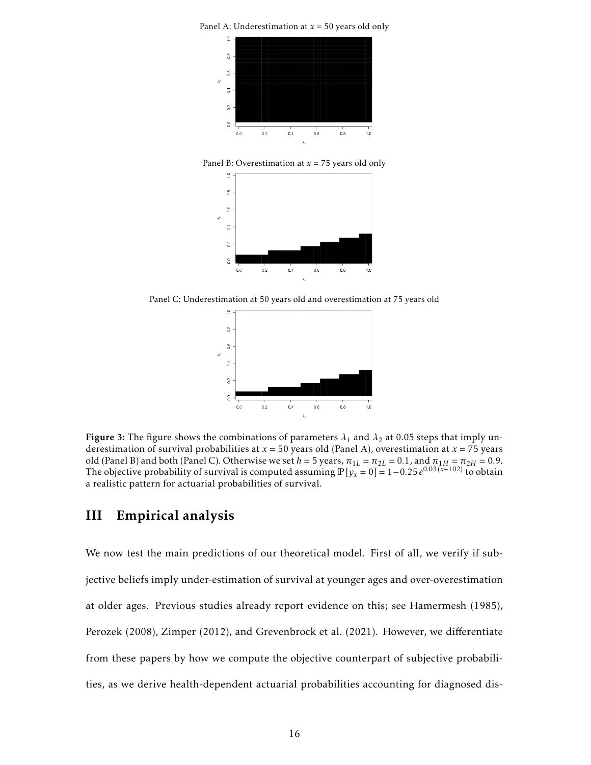

Panel B: Overestimation at *x* = 75 years old only



Panel C: Underestimation at 50 years old and overestimation at 75 years old



Figure 3: The figure shows the combinations of parameters  $\lambda_1$  and  $\lambda_2$  at 0.05 steps that imply underestimation of survival probabilities at  $x = 50$  years old (Panel A), overestimation at  $x = 75$  years old (Panel B) and both (Panel C). Otherwise we set  $h = 5$  years,  $\pi_{1L} = \pi_{2L} = 0.1$ , and  $\pi_{1H} = \pi_{2H} = 0.9$ . The objective probability of survival is computed assuming  $\mathbb{P}[y_x=0] = 1-0.25e^{0.03(x-102)}$  to obtain a realistic pattern for actuarial probabilities of survival.

### III Empirical analysis

We now test the main predictions of our theoretical model. First of all, we verify if subjective beliefs imply under-estimation of survival at younger ages and over-overestimation at older ages. Previous studies already report evidence on this; see Hamermesh (1985), Perozek (2008), Zimper (2012), and Grevenbrock et al. (2021). However, we differentiate from these papers by how we compute the objective counterpart of subjective probabilities, as we derive health-dependent actuarial probabilities accounting for diagnosed dis-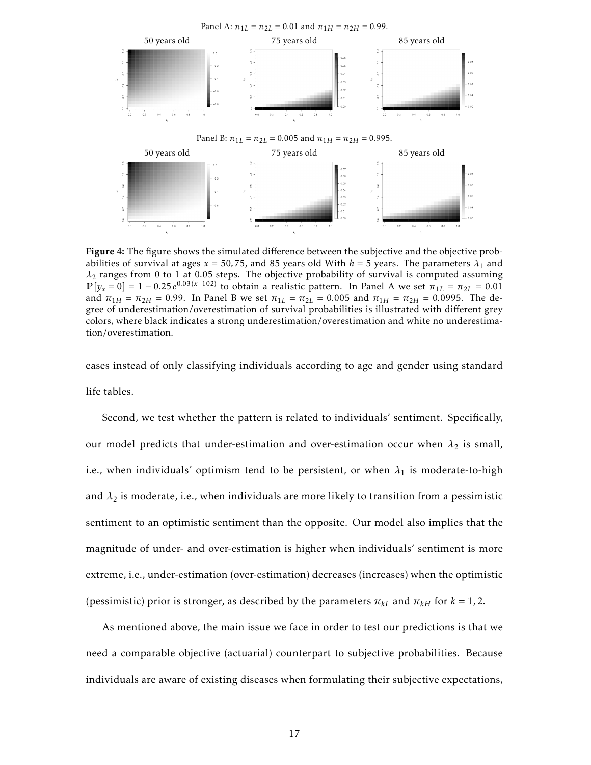

Figure 4: The figure shows the simulated difference between the subjective and the objective probabilities of survival at ages  $x = 50,75$ , and 85 years old With  $h = 5$  years. The parameters  $\lambda_1$  and *λ*<sup>2</sup> ranges from 0 to 1 at 0.05 steps. The objective probability of survival is computed assuming  $\mathbb{P}[y_x = 0] = 1 - 0.25e^{0.03(x-102)}$  to obtain a realistic pattern. In Panel A we set  $\pi_{1L} = \pi_{2L} = 0.01$ and  $\pi_{1H} = \pi_{2H} = 0.99$ . In Panel B we set  $\pi_{1L} = \pi_{2L} = 0.005$  and  $\pi_{1H} = \pi_{2H} = 0.0995$ . The degree of underestimation/overestimation of survival probabilities is illustrated with different grey colors, where black indicates a strong underestimation/overestimation and white no underestimation/overestimation.

eases instead of only classifying individuals according to age and gender using standard life tables.

Second, we test whether the pattern is related to individuals' sentiment. Specifically, our model predicts that under-estimation and over-estimation occur when  $\lambda_2$  is small, i.e., when individuals' optimism tend to be persistent, or when  $\lambda_1$  is moderate-to-high and  $\lambda_2$  is moderate, i.e., when individuals are more likely to transition from a pessimistic sentiment to an optimistic sentiment than the opposite. Our model also implies that the magnitude of under- and over-estimation is higher when individuals' sentiment is more extreme, i.e., under-estimation (over-estimation) decreases (increases) when the optimistic (pessimistic) prior is stronger, as described by the parameters  $\pi_{kL}$  and  $\pi_{kH}$  for  $k = 1, 2$ .

As mentioned above, the main issue we face in order to test our predictions is that we need a comparable objective (actuarial) counterpart to subjective probabilities. Because individuals are aware of existing diseases when formulating their subjective expectations,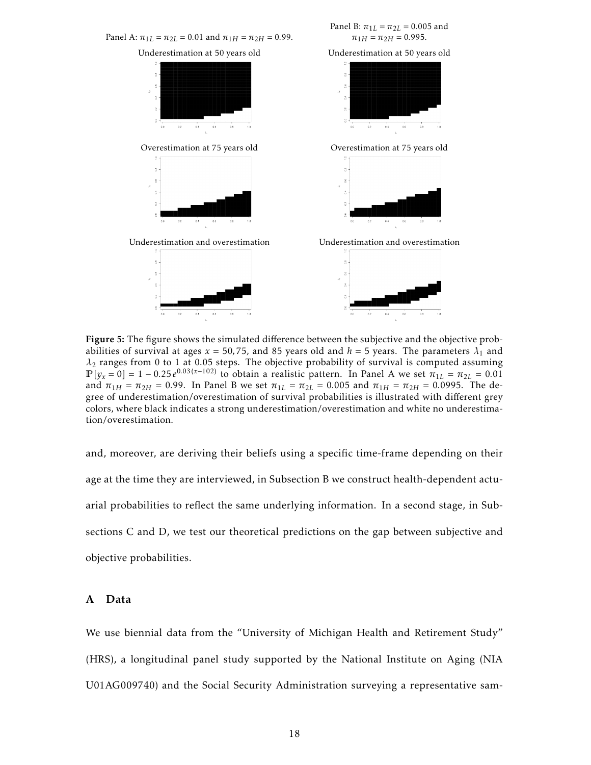

Figure 5: The figure shows the simulated difference between the subjective and the objective probabilities of survival at ages  $x = 50,75$ , and 85 years old and  $h = 5$  years. The parameters  $\lambda_1$  and *λ*<sup>2</sup> ranges from 0 to 1 at 0.05 steps. The objective probability of survival is computed assuming  $\mathbb{P}[y_x = 0] = 1 - 0.25e^{0.03(x-102)}$  to obtain a realistic pattern. In Panel A we set  $\pi_{1L} = \pi_{2L} = 0.01$ and  $\pi_{1H} = \pi_{2H} = 0.99$ . In Panel B we set  $\pi_{1L} = \pi_{2L} = 0.005$  and  $\pi_{1H} = \pi_{2H} = 0.0995$ . The degree of underestimation/overestimation of survival probabilities is illustrated with different grey colors, where black indicates a strong underestimation/overestimation and white no underestimation/overestimation.

and, moreover, are deriving their beliefs using a specific time-frame depending on their age at the time they are interviewed, in Subsection B we construct health-dependent actuarial probabilities to reflect the same underlying information. In a second stage, in Subsections C and D, we test our theoretical predictions on the gap between subjective and objective probabilities.

#### A Data

We use biennial data from the "University of Michigan Health and Retirement Study" (HRS), a longitudinal panel study supported by the National Institute on Aging (NIA U01AG009740) and the Social Security Administration surveying a representative sam-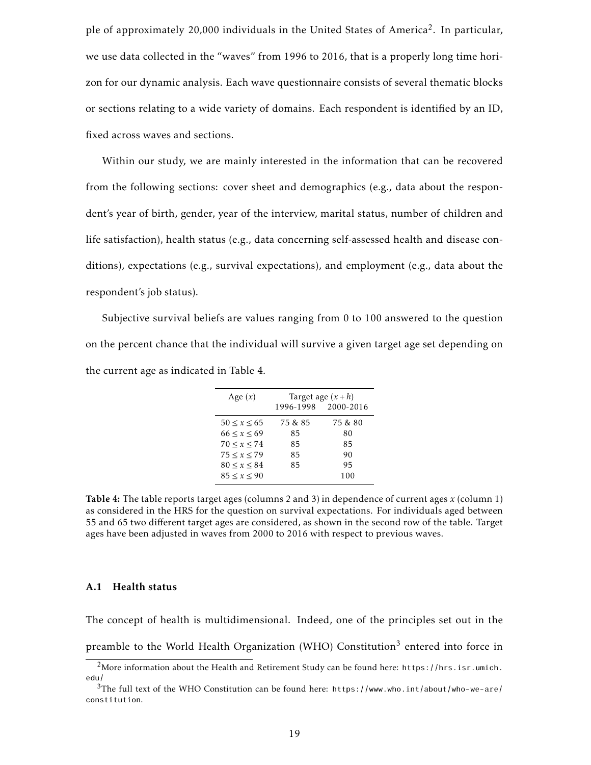ple of approximately 20,000 individuals in the United States of America<sup>2</sup>. In particular, we use data collected in the "waves" from 1996 to 2016, that is a properly long time horizon for our dynamic analysis. Each wave questionnaire consists of several thematic blocks or sections relating to a wide variety of domains. Each respondent is identified by an ID, fixed across waves and sections.

Within our study, we are mainly interested in the information that can be recovered from the following sections: cover sheet and demographics (e.g., data about the respondent's year of birth, gender, year of the interview, marital status, number of children and life satisfaction), health status (e.g., data concerning self-assessed health and disease conditions), expectations (e.g., survival expectations), and employment (e.g., data about the respondent's job status).

Subjective survival beliefs are values ranging from 0 to 100 answered to the question on the percent chance that the individual will survive a given target age set depending on the current age as indicated in Table 4.

| Age $(x)$         |         | Target age $(x+h)$  |
|-------------------|---------|---------------------|
|                   |         | 1996-1998 2000-2016 |
| $50 \le x \le 65$ | 75 & 85 | 75 & 80             |
| 66 < x < 69       | 85      | 80                  |
| 70 < x < 74       | 85      | 85                  |
| 75 < x < 79       | 85      | 90                  |
| 80 < x < 84       | 85      | 95                  |
| 85 < x < 90       |         | 100                 |

Table 4: The table reports target ages (columns 2 and 3) in dependence of current ages *x* (column 1) as considered in the HRS for the question on survival expectations. For individuals aged between 55 and 65 two different target ages are considered, as shown in the second row of the table. Target ages have been adjusted in waves from 2000 to 2016 with respect to previous waves.

#### A.1 Health status

The concept of health is multidimensional. Indeed, one of the principles set out in the preamble to the World Health Organization (WHO) Constitution<sup>3</sup> entered into force in

<sup>2</sup>More information about the Health and Retirement Study can be found here: https://hrs.isr.umich. edu/

<sup>3</sup>The full text of the WHO Constitution can be found here: https://www.who.int/about/who-we-are/ constitution.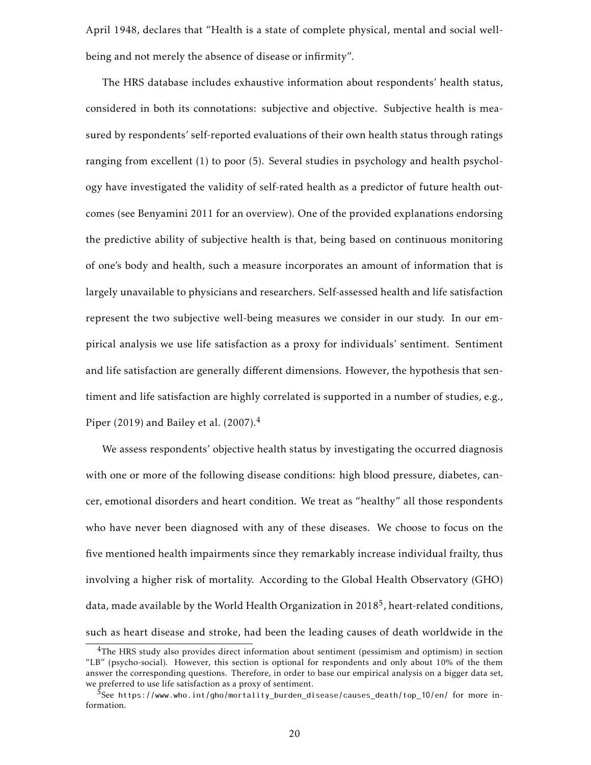April 1948, declares that "Health is a state of complete physical, mental and social wellbeing and not merely the absence of disease or infirmity".

The HRS database includes exhaustive information about respondents' health status, considered in both its connotations: subjective and objective. Subjective health is measured by respondents' self-reported evaluations of their own health status through ratings ranging from excellent (1) to poor (5). Several studies in psychology and health psychology have investigated the validity of self-rated health as a predictor of future health outcomes (see Benyamini 2011 for an overview). One of the provided explanations endorsing the predictive ability of subjective health is that, being based on continuous monitoring of one's body and health, such a measure incorporates an amount of information that is largely unavailable to physicians and researchers. Self-assessed health and life satisfaction represent the two subjective well-being measures we consider in our study. In our empirical analysis we use life satisfaction as a proxy for individuals' sentiment. Sentiment and life satisfaction are generally different dimensions. However, the hypothesis that sentiment and life satisfaction are highly correlated is supported in a number of studies, e.g., Piper (2019) and Bailey et al. (2007). $4$ 

We assess respondents' objective health status by investigating the occurred diagnosis with one or more of the following disease conditions: high blood pressure, diabetes, cancer, emotional disorders and heart condition. We treat as "healthy" all those respondents who have never been diagnosed with any of these diseases. We choose to focus on the five mentioned health impairments since they remarkably increase individual frailty, thus involving a higher risk of mortality. According to the Global Health Observatory (GHO) data, made available by the World Health Organization in 2018 $^5$ , heart-related conditions, such as heart disease and stroke, had been the leading causes of death worldwide in the

<sup>&</sup>lt;sup>4</sup>The HRS study also provides direct information about sentiment (pessimism and optimism) in section "LB" (psycho-social). However, this section is optional for respondents and only about 10% of the them answer the corresponding questions. Therefore, in order to base our empirical analysis on a bigger data set, we preferred to use life satisfaction as a proxy of sentiment.

<sup>5</sup>See https://www.who.int/gho/mortality\_burden\_disease/causes\_death/top\_10/en/ for more information.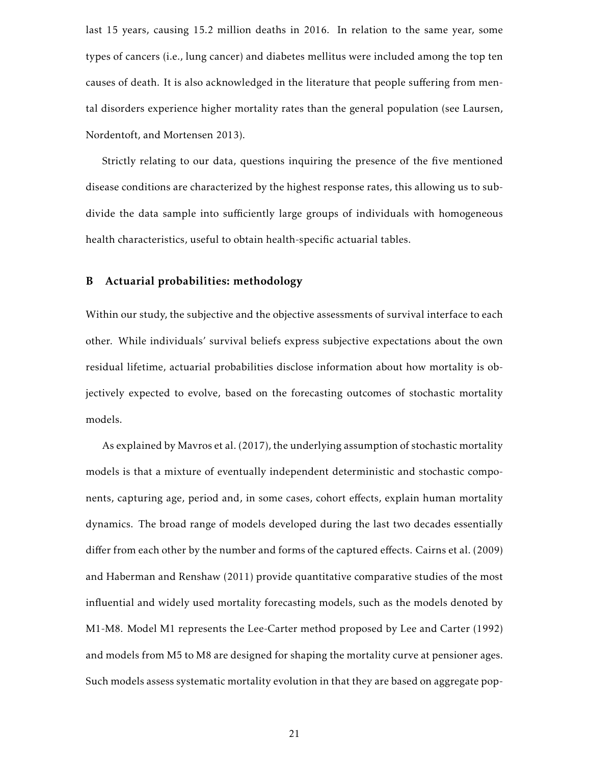last 15 years, causing 15.2 million deaths in 2016. In relation to the same year, some types of cancers (i.e., lung cancer) and diabetes mellitus were included among the top ten causes of death. It is also acknowledged in the literature that people suffering from mental disorders experience higher mortality rates than the general population (see Laursen, Nordentoft, and Mortensen 2013).

Strictly relating to our data, questions inquiring the presence of the five mentioned disease conditions are characterized by the highest response rates, this allowing us to subdivide the data sample into sufficiently large groups of individuals with homogeneous health characteristics, useful to obtain health-specific actuarial tables.

#### B Actuarial probabilities: methodology

Within our study, the subjective and the objective assessments of survival interface to each other. While individuals' survival beliefs express subjective expectations about the own residual lifetime, actuarial probabilities disclose information about how mortality is objectively expected to evolve, based on the forecasting outcomes of stochastic mortality models.

As explained by Mavros et al. (2017), the underlying assumption of stochastic mortality models is that a mixture of eventually independent deterministic and stochastic components, capturing age, period and, in some cases, cohort effects, explain human mortality dynamics. The broad range of models developed during the last two decades essentially differ from each other by the number and forms of the captured effects. Cairns et al. (2009) and Haberman and Renshaw (2011) provide quantitative comparative studies of the most influential and widely used mortality forecasting models, such as the models denoted by M1-M8. Model M1 represents the Lee-Carter method proposed by Lee and Carter (1992) and models from M5 to M8 are designed for shaping the mortality curve at pensioner ages. Such models assess systematic mortality evolution in that they are based on aggregate pop-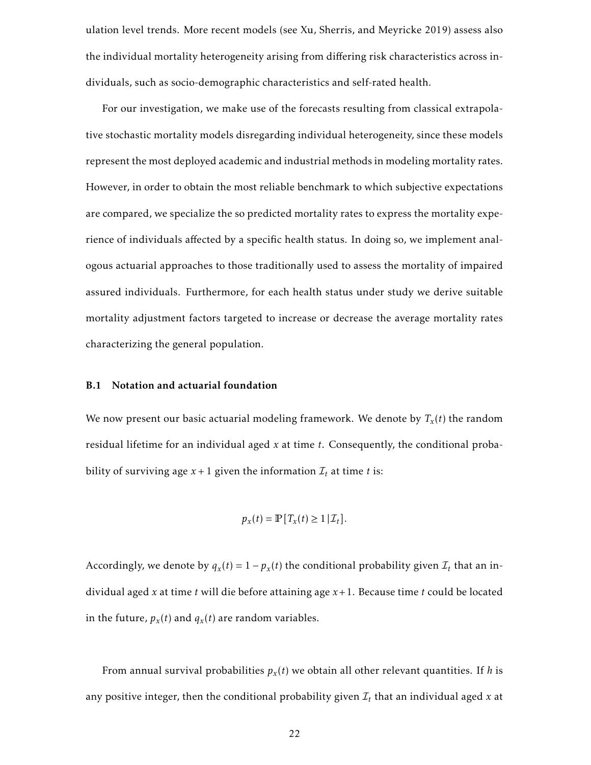ulation level trends. More recent models (see Xu, Sherris, and Meyricke 2019) assess also the individual mortality heterogeneity arising from differing risk characteristics across individuals, such as socio-demographic characteristics and self-rated health.

For our investigation, we make use of the forecasts resulting from classical extrapolative stochastic mortality models disregarding individual heterogeneity, since these models represent the most deployed academic and industrial methods in modeling mortality rates. However, in order to obtain the most reliable benchmark to which subjective expectations are compared, we specialize the so predicted mortality rates to express the mortality experience of individuals affected by a specific health status. In doing so, we implement analogous actuarial approaches to those traditionally used to assess the mortality of impaired assured individuals. Furthermore, for each health status under study we derive suitable mortality adjustment factors targeted to increase or decrease the average mortality rates characterizing the general population.

#### B.1 Notation and actuarial foundation

We now present our basic actuarial modeling framework. We denote by *T<sup>x</sup>* (*t*) the random residual lifetime for an individual aged *x* at time *t*. Consequently, the conditional probability of surviving age  $x + 1$  given the information  $\mathcal{I}_t$  at time *t* is:

$$
p_{x}(t) = \mathbb{P}[T_{x}(t) \geq 1 | \mathcal{I}_{t}].
$$

Accordingly, we denote by  $q_x(t) = 1 - p_x(t)$  the conditional probability given  $\mathcal{I}_t$  that an individual aged *x* at time *t* will die before attaining age *x*+1. Because time *t* could be located in the future,  $p_x(t)$  and  $q_x(t)$  are random variables.

From annual survival probabilities *p<sup>x</sup>* (*t*) we obtain all other relevant quantities. If *h* is any positive integer, then the conditional probability given  $\mathcal{I}_t$  that an individual aged  $x$  at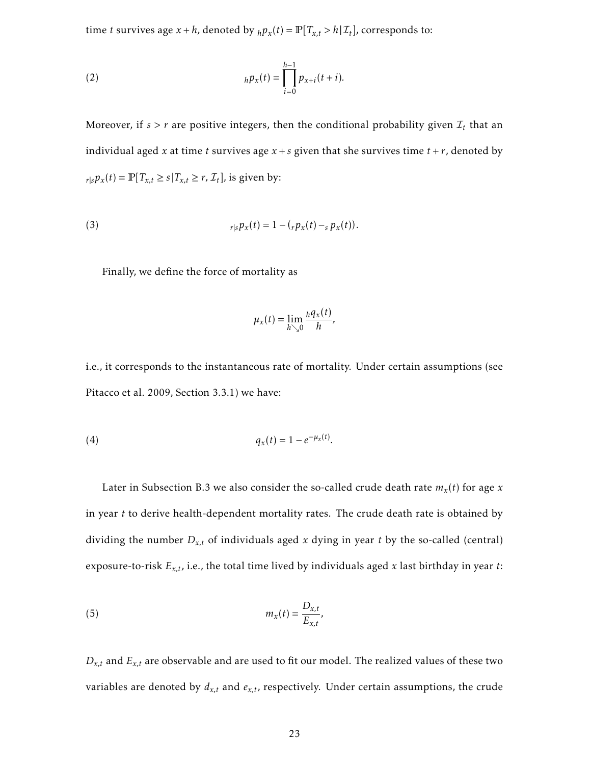time *t* survives age  $x + h$ , denoted by  $_h p_x(t) = \mathbb{P}[T_{x,t} > h | \mathcal{I}_t]$ , corresponds to:

(2) 
$$
_{h}p_{x}(t)=\prod_{i=0}^{h-1}p_{x+i}(t+i).
$$

Moreover, if  $s > r$  are positive integers, then the conditional probability given  $\mathcal{I}_t$  that an individual aged *x* at time *t* survives age  $x + s$  given that she survives time  $t + r$ , denoted by  $r|s p_x(t) = \mathbb{P}[T_{x,t} \ge s | T_{x,t} \ge r, \mathcal{I}_t]$ , is given by:

(3) 
$$
r|s p_x(t) = 1 - (r p_x(t) - s p_x(t)).
$$

Finally, we define the force of mortality as

$$
\mu_x(t) = \lim_{h \searrow 0} \frac{hq_x(t)}{h},
$$

i.e., it corresponds to the instantaneous rate of mortality. Under certain assumptions (see Pitacco et al. 2009, Section 3.3.1) we have:

(4) 
$$
q_x(t) = 1 - e^{-\mu_x(t)}.
$$

Later in Subsection B.3 we also consider the so-called crude death rate *m<sup>x</sup>* (*t*) for age *x* in year *t* to derive health-dependent mortality rates. The crude death rate is obtained by dividing the number  $D_{x,t}$  of individuals aged  $x$  dying in year  $t$  by the so-called (central) exposure-to-risk *Ex,t*, i.e., the total time lived by individuals aged *x* last birthday in year *t*:

$$
m_x(t) = \frac{D_{x,t}}{E_{x,t}},
$$

 $D_{x,t}$  and  $E_{x,t}$  are observable and are used to fit our model. The realized values of these two variables are denoted by  $d_{x,t}$  and  $e_{x,t}$ , respectively. Under certain assumptions, the crude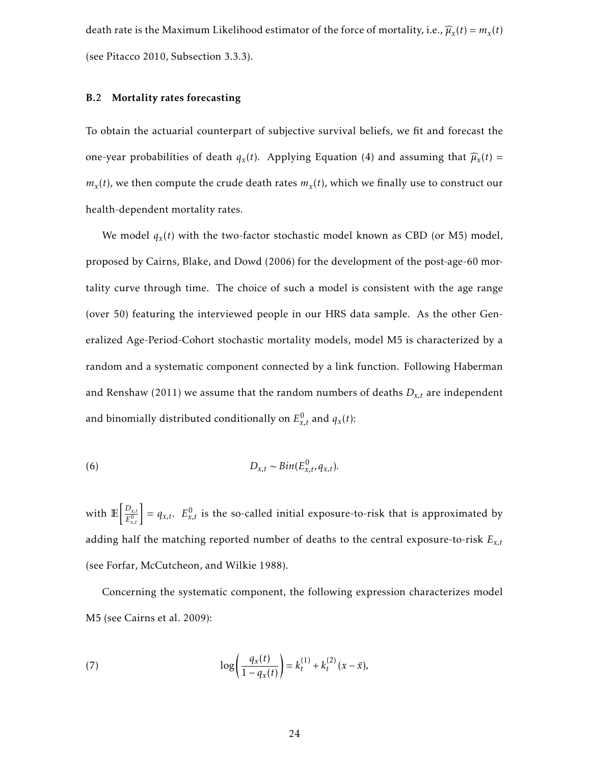death rate is the Maximum Likelihood estimator of the force of mortality, i.e.,  $\widehat{\mu}_x(t) = m_x(t)$ (see Pitacco 2010, Subsection 3.3.3).

#### B.2 Mortality rates forecasting

To obtain the actuarial counterpart of subjective survival beliefs, we fit and forecast the one-year probabilities of death  $q_x(t)$ . Applying Equation (4) and assuming that  $\widehat{\mu}_x(t)$  =  $m_x(t)$ , we then compute the crude death rates  $m_x(t)$ , which we finally use to construct our health-dependent mortality rates.

We model *q<sup>x</sup>* (*t*) with the two-factor stochastic model known as CBD (or M5) model, proposed by Cairns, Blake, and Dowd (2006) for the development of the post-age-60 mortality curve through time. The choice of such a model is consistent with the age range (over 50) featuring the interviewed people in our HRS data sample. As the other Generalized Age-Period-Cohort stochastic mortality models, model M5 is characterized by a random and a systematic component connected by a link function. Following Haberman and Renshaw (2011) we assume that the random numbers of deaths  $D_{x,t}$  are independent and binomially distributed conditionally on  $E_{x,t}^0$  and  $q_x(t)$ :

(6) 
$$
D_{x,t} \sim Bin(E_{x,t}^0, q_{x,t}).
$$

with  $\mathbb{E}\left[\frac{D_{x,t}}{E^0}\right]$  $\left[\frac{D_{x,t}}{E_{x,t}^0}\right] = q_{x,t}$ .  $E_{x,t}^0$  is the so-called initial exposure-to-risk that is approximated by adding half the matching reported number of deaths to the central exposure-to-risk *Ex,t* (see Forfar, McCutcheon, and Wilkie 1988).

Concerning the systematic component, the following expression characterizes model M5 (see Cairns et al. 2009):

(7) 
$$
\log\left(\frac{q_x(t)}{1-q_x(t)}\right) = k_t^{(1)} + k_t^{(2)}(x-\bar{x}),
$$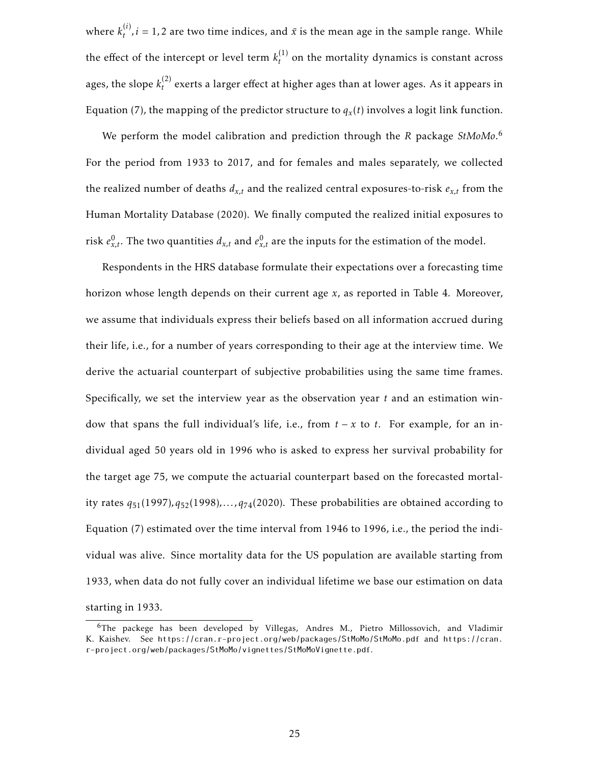where  $k_t^{(i)}$  $\hat{t}^{(t)}$ , *i* = 1, 2 are two time indices, and  $\bar{x}$  is the mean age in the sample range. While the effect of the intercept or level term  $k_t^{(1)}$  $t_t^{(1)}$  on the mortality dynamics is constant across ages, the slope  $k_t^{(2)}$  $t<sup>2</sup>$  exerts a larger effect at higher ages than at lower ages. As it appears in Equation (7), the mapping of the predictor structure to  $q_x(t)$  involves a logit link function.

We perform the model calibration and prediction through the *R* package *StMoMo*. 6 For the period from 1933 to 2017, and for females and males separately, we collected the realized number of deaths  $d_{x,t}$  and the realized central exposures-to-risk  $e_{x,t}$  from the Human Mortality Database (2020). We finally computed the realized initial exposures to risk  $e_{x,t}^0$ . The two quantities  $d_{x,t}$  and  $e_{x,t}^0$  are the inputs for the estimation of the model.

Respondents in the HRS database formulate their expectations over a forecasting time horizon whose length depends on their current age *x*, as reported in Table 4. Moreover, we assume that individuals express their beliefs based on all information accrued during their life, i.e., for a number of years corresponding to their age at the interview time. We derive the actuarial counterpart of subjective probabilities using the same time frames. Specifically, we set the interview year as the observation year *t* and an estimation window that spans the full individual's life, i.e., from *t* − *x* to *t*. For example, for an individual aged 50 years old in 1996 who is asked to express her survival probability for the target age 75, we compute the actuarial counterpart based on the forecasted mortality rates  $q_{51}(1997)$ ,  $q_{52}(1998)$ , ...,  $q_{74}(2020)$ . These probabilities are obtained according to Equation (7) estimated over the time interval from 1946 to 1996, i.e., the period the individual was alive. Since mortality data for the US population are available starting from 1933, when data do not fully cover an individual lifetime we base our estimation on data starting in 1933.

<sup>6</sup>The packege has been developed by Villegas, Andres M., Pietro Millossovich, and Vladimir K. Kaishev. See https://cran.r-project.org/web/packages/StMoMo/StMoMo.pdf and https://cran. r-project.org/web/packages/StMoMo/vignettes/StMoMoVignette.pdf.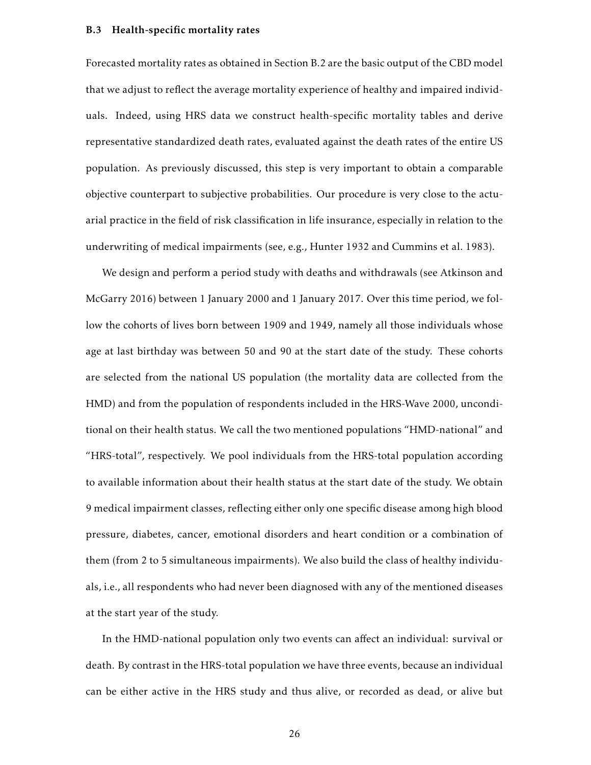#### B.3 Health-specific mortality rates

Forecasted mortality rates as obtained in Section B.2 are the basic output of the CBD model that we adjust to reflect the average mortality experience of healthy and impaired individuals. Indeed, using HRS data we construct health-specific mortality tables and derive representative standardized death rates, evaluated against the death rates of the entire US population. As previously discussed, this step is very important to obtain a comparable objective counterpart to subjective probabilities. Our procedure is very close to the actuarial practice in the field of risk classification in life insurance, especially in relation to the underwriting of medical impairments (see, e.g., Hunter 1932 and Cummins et al. 1983).

We design and perform a period study with deaths and withdrawals (see Atkinson and McGarry 2016) between 1 January 2000 and 1 January 2017. Over this time period, we follow the cohorts of lives born between 1909 and 1949, namely all those individuals whose age at last birthday was between 50 and 90 at the start date of the study. These cohorts are selected from the national US population (the mortality data are collected from the HMD) and from the population of respondents included in the HRS-Wave 2000, unconditional on their health status. We call the two mentioned populations "HMD-national" and "HRS-total", respectively. We pool individuals from the HRS-total population according to available information about their health status at the start date of the study. We obtain 9 medical impairment classes, reflecting either only one specific disease among high blood pressure, diabetes, cancer, emotional disorders and heart condition or a combination of them (from 2 to 5 simultaneous impairments). We also build the class of healthy individuals, i.e., all respondents who had never been diagnosed with any of the mentioned diseases at the start year of the study.

In the HMD-national population only two events can affect an individual: survival or death. By contrast in the HRS-total population we have three events, because an individual can be either active in the HRS study and thus alive, or recorded as dead, or alive but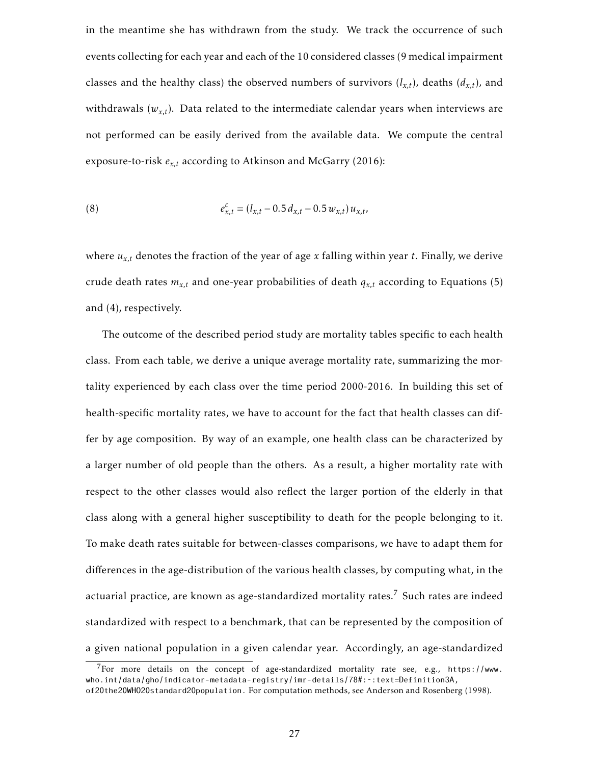in the meantime she has withdrawn from the study. We track the occurrence of such events collecting for each year and each of the 10 considered classes (9 medical impairment classes and the healthy class) the observed numbers of survivors  $(l_{x,t})$ , deaths  $(d_{x,t})$ , and withdrawals  $(w_{x,t})$ . Data related to the intermediate calendar years when interviews are not performed can be easily derived from the available data. We compute the central exposure-to-risk *ex,t* according to Atkinson and McGarry (2016):

(8) 
$$
e_{x,t}^c = (l_{x,t} - 0.5 d_{x,t} - 0.5 w_{x,t}) u_{x,t},
$$

where  $u_{x,t}$  denotes the fraction of the year of age  $x$  falling within year  $t$ . Finally, we derive crude death rates  $m_{x,t}$  and one-year probabilities of death  $q_{x,t}$  according to Equations (5) and (4), respectively.

The outcome of the described period study are mortality tables specific to each health class. From each table, we derive a unique average mortality rate, summarizing the mortality experienced by each class over the time period 2000-2016. In building this set of health-specific mortality rates, we have to account for the fact that health classes can differ by age composition. By way of an example, one health class can be characterized by a larger number of old people than the others. As a result, a higher mortality rate with respect to the other classes would also reflect the larger portion of the elderly in that class along with a general higher susceptibility to death for the people belonging to it. To make death rates suitable for between-classes comparisons, we have to adapt them for differences in the age-distribution of the various health classes, by computing what, in the actuarial practice, are known as age-standardized mortality rates.<sup>7</sup> Such rates are indeed standardized with respect to a benchmark, that can be represented by the composition of a given national population in a given calendar year. Accordingly, an age-standardized

 $^7$  For more details on the concept of age-standardized mortality rate see, e.g., https://www. who.int/data/gho/indicator-metadata-registry/imr-details/78#:˜:text=Definition3A,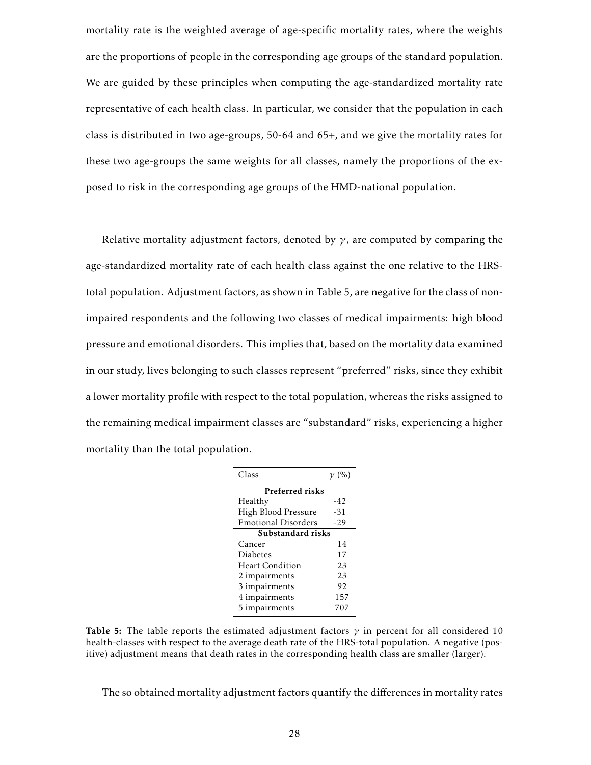mortality rate is the weighted average of age-specific mortality rates, where the weights are the proportions of people in the corresponding age groups of the standard population. We are guided by these principles when computing the age-standardized mortality rate representative of each health class. In particular, we consider that the population in each class is distributed in two age-groups, 50-64 and 65+, and we give the mortality rates for these two age-groups the same weights for all classes, namely the proportions of the exposed to risk in the corresponding age groups of the HMD-national population.

Relative mortality adjustment factors, denoted by  $\gamma$ , are computed by comparing the age-standardized mortality rate of each health class against the one relative to the HRStotal population. Adjustment factors, as shown in Table 5, are negative for the class of nonimpaired respondents and the following two classes of medical impairments: high blood pressure and emotional disorders. This implies that, based on the mortality data examined in our study, lives belonging to such classes represent "preferred" risks, since they exhibit a lower mortality profile with respect to the total population, whereas the risks assigned to the remaining medical impairment classes are "substandard" risks, experiencing a higher mortality than the total population.

| Class                      | $\gamma$ (%) |
|----------------------------|--------------|
| Preferred risks            |              |
| Healthy                    | -42          |
| High Blood Pressure        | -31          |
| <b>Emotional Disorders</b> | $-29$        |
| Substandard risks          |              |
| Cancer                     | 14           |
| Diabetes                   | 17           |
| <b>Heart Condition</b>     | 23           |
| 2 impairments              | 23           |
| 3 impairments              | 92           |
| 4 impairments              | 157          |
| 5 impairments              | 707          |

Table 5: The table reports the estimated adjustment factors  $\gamma$  in percent for all considered 10 health-classes with respect to the average death rate of the HRS-total population. A negative (positive) adjustment means that death rates in the corresponding health class are smaller (larger).

The so obtained mortality adjustment factors quantify the differences in mortality rates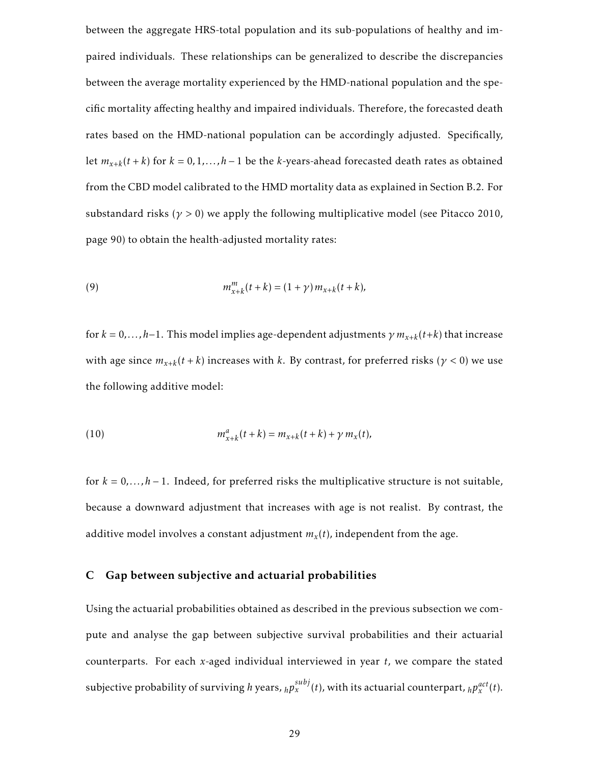between the aggregate HRS-total population and its sub-populations of healthy and impaired individuals. These relationships can be generalized to describe the discrepancies between the average mortality experienced by the HMD-national population and the specific mortality affecting healthy and impaired individuals. Therefore, the forecasted death rates based on the HMD-national population can be accordingly adjusted. Specifically, let  $m_{x+k}(t+k)$  for  $k = 0, 1, ..., h-1$  be the *k*-years-ahead forecasted death rates as obtained from the CBD model calibrated to the HMD mortality data as explained in Section B.2. For substandard risks ( $\gamma > 0$ ) we apply the following multiplicative model (see Pitacco 2010, page 90) to obtain the health-adjusted mortality rates:

(9) 
$$
m_{x+k}^m(t+k) = (1+\gamma) m_{x+k}(t+k),
$$

for  $k = 0, \ldots, h-1$ . This model implies age-dependent adjustments  $\gamma m_{x+k}(t+k)$  that increase with age since  $m_{x+k}(t+k)$  increases with  $k$ . By contrast, for preferred risks  $(\gamma < 0)$  we use the following additive model:

(10) 
$$
m_{x+k}^a(t+k) = m_{x+k}(t+k) + \gamma m_x(t),
$$

for  $k = 0, \ldots, h-1$ . Indeed, for preferred risks the multiplicative structure is not suitable, because a downward adjustment that increases with age is not realist. By contrast, the additive model involves a constant adjustment *m<sup>x</sup>* (*t*), independent from the age.

#### C Gap between subjective and actuarial probabilities

Using the actuarial probabilities obtained as described in the previous subsection we compute and analyse the gap between subjective survival probabilities and their actuarial counterparts. For each *x*-aged individual interviewed in year *t*, we compare the stated subjective probability of surviving *h* years,  $_h p_x^{subj}(t)$ , with its actuarial counterpart,  $_h p_x^{act}(t)$ .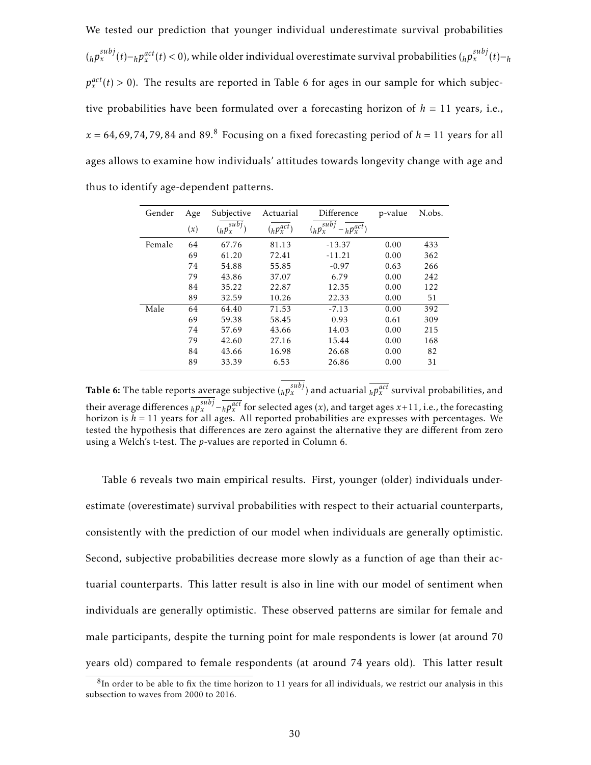We tested our prediction that younger individual underestimate survival probabilities  $(_h p_x^{subj}(t) - _h p_x^{act}(t) < 0)$ , while older individual overestimate survival probabilities  $(_h p_x^{subj}(t) - _h$  $p_x^{act}(t) > 0$ ). The results are reported in Table 6 for ages in our sample for which subjective probabilities have been formulated over a forecasting horizon of  $h = 11$  years, i.e.,  $x = 64, 69, 74, 79, 84$  and  $89<sup>8</sup>$  Focusing on a fixed forecasting period of  $h = 11$  years for all ages allows to examine how individuals' attitudes towards longevity change with age and thus to identify age-dependent patterns.

| Gender | Age | Subjective                | Actuarial       | Difference                     | p-value | N.obs. |
|--------|-----|---------------------------|-----------------|--------------------------------|---------|--------|
|        | (x) | sub <sub>j</sub><br>(hPx) | $(h p_x^{act})$ | subi<br>$h p_x^{act}$<br>(hPx) |         |        |
| Female | 64  | 67.76                     | 81.13           | $-13.37$                       | 0.00    | 433    |
|        | 69  | 61.20                     | 72.41           | $-11.21$                       | 0.00    | 362    |
|        | 74  | 54.88                     | 55.85           | $-0.97$                        | 0.63    | 266    |
|        | 79  | 43.86                     | 37.07           | 6.79                           | 0.00    | 242    |
|        | 84  | 35.22                     | 22.87           | 12.35                          | 0.00    | 122    |
|        | 89  | 32.59                     | 10.26           | 22.33                          | 0.00    | 51     |
| Male   | 64  | 64.40                     | 71.53           | $-7.13$                        | 0.00    | 392    |
|        | 69  | 59.38                     | 58.45           | 0.93                           | 0.61    | 309    |
|        | 74  | 57.69                     | 43.66           | 14.03                          | 0.00    | 215    |
|        | 79  | 42.60                     | 27.16           | 15.44                          | 0.00    | 168    |
|        | 84  | 43.66                     | 16.98           | 26.68                          | 0.00    | 82     |
|        | 89  | 33.39                     | 6.53            | 26.86                          | 0.00    | 31     |

Table 6: The table reports average subjective  $({}_h p_x^{subj})$  and actuarial  $\overline{{}_h p_x^{act}}$  survival probabilities, and their average differences  $_h p_x^{subj} - \overline{_h p_x^{act}}$  for selected ages (*x*), and target ages *x*+11, i.e., the forecasting horizon is  $h = 11$  years for all ages. All reported probabilities are expresses with percentages. We tested the hypothesis that differences are zero against the alternative they are different from zero using a Welch's t-test. The *p*-values are reported in Column 6.

Table 6 reveals two main empirical results. First, younger (older) individuals underestimate (overestimate) survival probabilities with respect to their actuarial counterparts, consistently with the prediction of our model when individuals are generally optimistic. Second, subjective probabilities decrease more slowly as a function of age than their actuarial counterparts. This latter result is also in line with our model of sentiment when individuals are generally optimistic. These observed patterns are similar for female and male participants, despite the turning point for male respondents is lower (at around 70 years old) compared to female respondents (at around 74 years old). This latter result

 ${}^{8}$ In order to be able to fix the time horizon to 11 years for all individuals, we restrict our analysis in this subsection to waves from 2000 to 2016.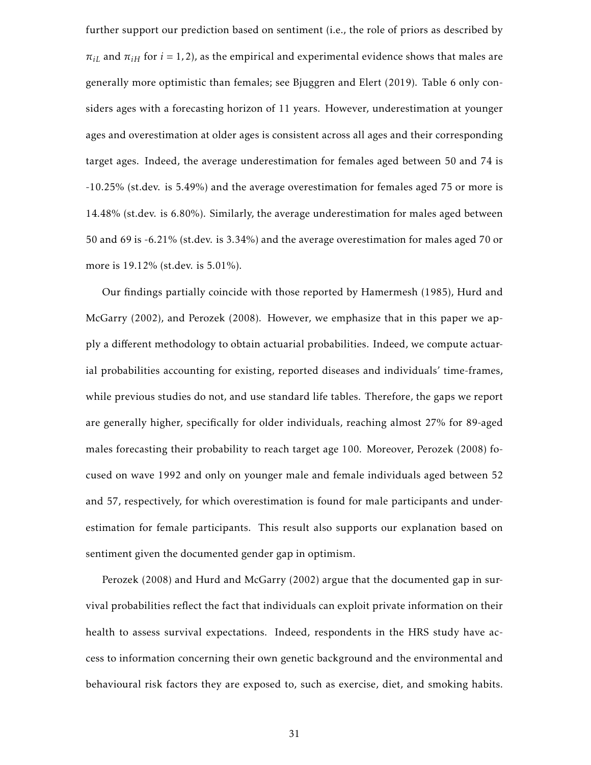further support our prediction based on sentiment (i.e., the role of priors as described by  $\pi_{iL}$  and  $\pi_{iH}$  for *i* = 1, 2), as the empirical and experimental evidence shows that males are generally more optimistic than females; see Bjuggren and Elert (2019). Table 6 only considers ages with a forecasting horizon of 11 years. However, underestimation at younger ages and overestimation at older ages is consistent across all ages and their corresponding target ages. Indeed, the average underestimation for females aged between 50 and 74 is -10.25% (st.dev. is 5.49%) and the average overestimation for females aged 75 or more is 14.48% (st.dev. is 6.80%). Similarly, the average underestimation for males aged between 50 and 69 is -6.21% (st.dev. is 3.34%) and the average overestimation for males aged 70 or more is 19.12% (st.dev. is 5.01%).

Our findings partially coincide with those reported by Hamermesh (1985), Hurd and McGarry (2002), and Perozek (2008). However, we emphasize that in this paper we apply a different methodology to obtain actuarial probabilities. Indeed, we compute actuarial probabilities accounting for existing, reported diseases and individuals' time-frames, while previous studies do not, and use standard life tables. Therefore, the gaps we report are generally higher, specifically for older individuals, reaching almost 27% for 89-aged males forecasting their probability to reach target age 100. Moreover, Perozek (2008) focused on wave 1992 and only on younger male and female individuals aged between 52 and 57, respectively, for which overestimation is found for male participants and underestimation for female participants. This result also supports our explanation based on sentiment given the documented gender gap in optimism.

Perozek (2008) and Hurd and McGarry (2002) argue that the documented gap in survival probabilities reflect the fact that individuals can exploit private information on their health to assess survival expectations. Indeed, respondents in the HRS study have access to information concerning their own genetic background and the environmental and behavioural risk factors they are exposed to, such as exercise, diet, and smoking habits.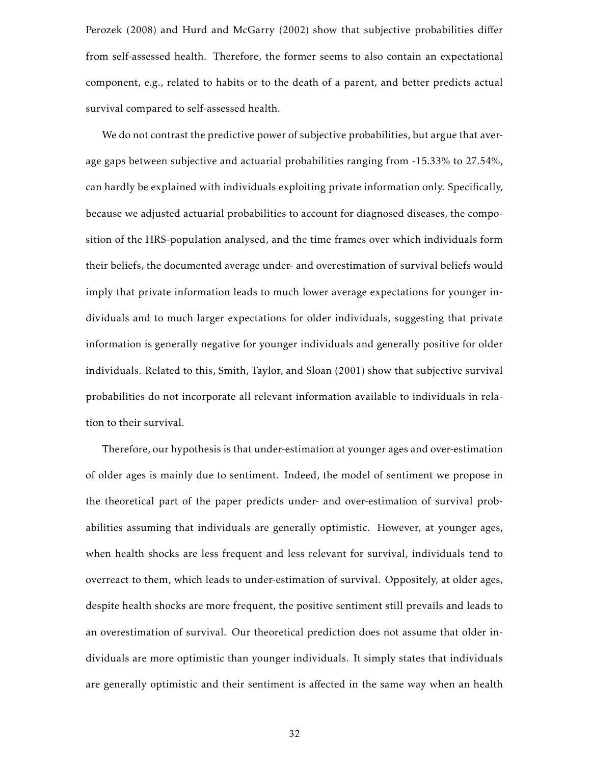Perozek (2008) and Hurd and McGarry (2002) show that subjective probabilities differ from self-assessed health. Therefore, the former seems to also contain an expectational component, e.g., related to habits or to the death of a parent, and better predicts actual survival compared to self-assessed health.

We do not contrast the predictive power of subjective probabilities, but argue that average gaps between subjective and actuarial probabilities ranging from -15.33% to 27.54%, can hardly be explained with individuals exploiting private information only. Specifically, because we adjusted actuarial probabilities to account for diagnosed diseases, the composition of the HRS-population analysed, and the time frames over which individuals form their beliefs, the documented average under- and overestimation of survival beliefs would imply that private information leads to much lower average expectations for younger individuals and to much larger expectations for older individuals, suggesting that private information is generally negative for younger individuals and generally positive for older individuals. Related to this, Smith, Taylor, and Sloan (2001) show that subjective survival probabilities do not incorporate all relevant information available to individuals in relation to their survival.

Therefore, our hypothesis is that under-estimation at younger ages and over-estimation of older ages is mainly due to sentiment. Indeed, the model of sentiment we propose in the theoretical part of the paper predicts under- and over-estimation of survival probabilities assuming that individuals are generally optimistic. However, at younger ages, when health shocks are less frequent and less relevant for survival, individuals tend to overreact to them, which leads to under-estimation of survival. Oppositely, at older ages, despite health shocks are more frequent, the positive sentiment still prevails and leads to an overestimation of survival. Our theoretical prediction does not assume that older individuals are more optimistic than younger individuals. It simply states that individuals are generally optimistic and their sentiment is affected in the same way when an health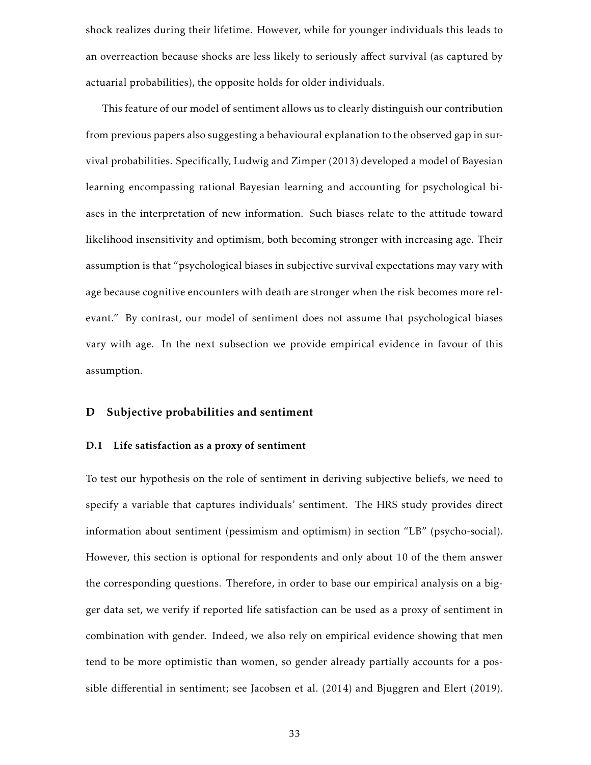shock realizes during their lifetime. However, while for younger individuals this leads to an overreaction because shocks are less likely to seriously affect survival (as captured by actuarial probabilities), the opposite holds for older individuals.

This feature of our model of sentiment allows us to clearly distinguish our contribution from previous papers also suggesting a behavioural explanation to the observed gap in survival probabilities. Specifically, Ludwig and Zimper (2013) developed a model of Bayesian learning encompassing rational Bayesian learning and accounting for psychological biases in the interpretation of new information. Such biases relate to the attitude toward likelihood insensitivity and optimism, both becoming stronger with increasing age. Their assumption is that "psychological biases in subjective survival expectations may vary with age because cognitive encounters with death are stronger when the risk becomes more relevant." By contrast, our model of sentiment does not assume that psychological biases vary with age. In the next subsection we provide empirical evidence in favour of this assumption.

#### D Subjective probabilities and sentiment

#### D.1 Life satisfaction as a proxy of sentiment

To test our hypothesis on the role of sentiment in deriving subjective beliefs, we need to specify a variable that captures individuals' sentiment. The HRS study provides direct information about sentiment (pessimism and optimism) in section "LB" (psycho-social). However, this section is optional for respondents and only about 10 of the them answer the corresponding questions. Therefore, in order to base our empirical analysis on a bigger data set, we verify if reported life satisfaction can be used as a proxy of sentiment in combination with gender. Indeed, we also rely on empirical evidence showing that men tend to be more optimistic than women, so gender already partially accounts for a possible differential in sentiment; see Jacobsen et al. (2014) and Bjuggren and Elert (2019).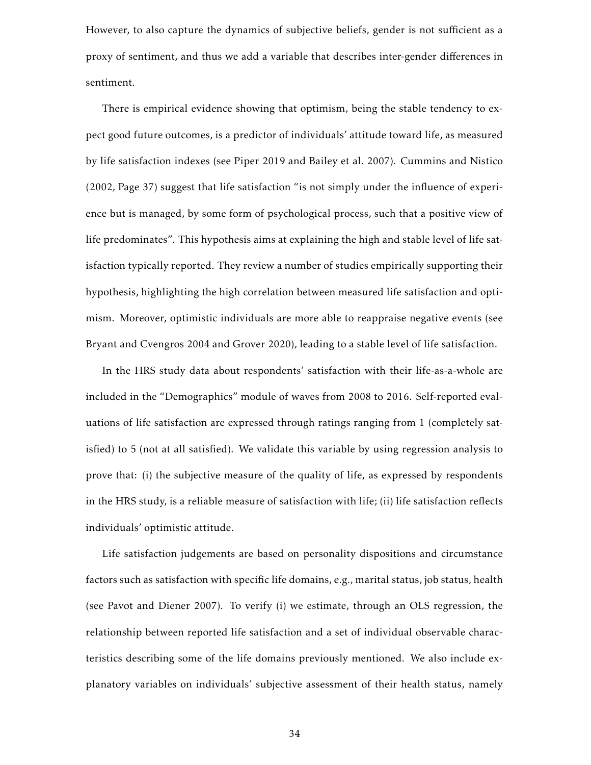However, to also capture the dynamics of subjective beliefs, gender is not sufficient as a proxy of sentiment, and thus we add a variable that describes inter-gender differences in sentiment.

There is empirical evidence showing that optimism, being the stable tendency to expect good future outcomes, is a predictor of individuals' attitude toward life, as measured by life satisfaction indexes (see Piper 2019 and Bailey et al. 2007). Cummins and Nistico (2002, Page 37) suggest that life satisfaction "is not simply under the influence of experience but is managed, by some form of psychological process, such that a positive view of life predominates". This hypothesis aims at explaining the high and stable level of life satisfaction typically reported. They review a number of studies empirically supporting their hypothesis, highlighting the high correlation between measured life satisfaction and optimism. Moreover, optimistic individuals are more able to reappraise negative events (see Bryant and Cvengros 2004 and Grover 2020), leading to a stable level of life satisfaction.

In the HRS study data about respondents' satisfaction with their life-as-a-whole are included in the "Demographics" module of waves from 2008 to 2016. Self-reported evaluations of life satisfaction are expressed through ratings ranging from 1 (completely satisfied) to 5 (not at all satisfied). We validate this variable by using regression analysis to prove that: (i) the subjective measure of the quality of life, as expressed by respondents in the HRS study, is a reliable measure of satisfaction with life; (ii) life satisfaction reflects individuals' optimistic attitude.

Life satisfaction judgements are based on personality dispositions and circumstance factors such as satisfaction with specific life domains, e.g., marital status, job status, health (see Pavot and Diener 2007). To verify (i) we estimate, through an OLS regression, the relationship between reported life satisfaction and a set of individual observable characteristics describing some of the life domains previously mentioned. We also include explanatory variables on individuals' subjective assessment of their health status, namely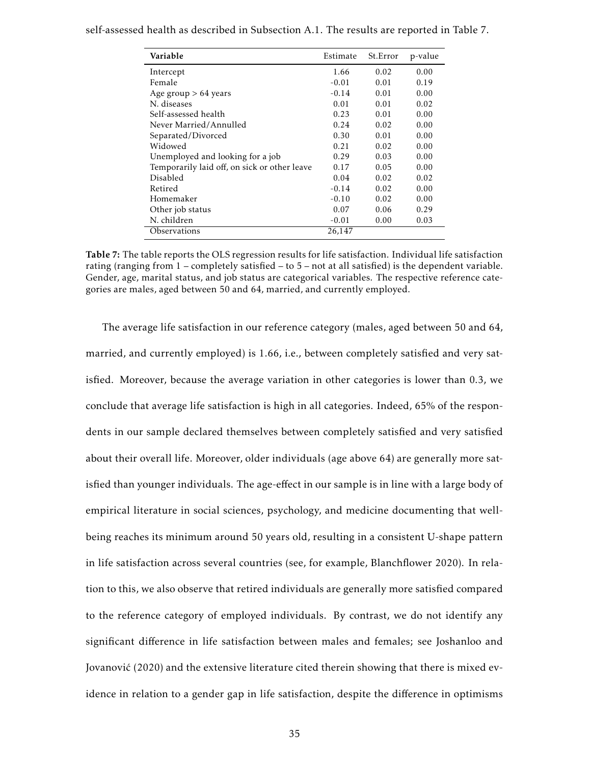| Variable                                     | Estimate | St.Error | p-value |
|----------------------------------------------|----------|----------|---------|
| Intercept                                    | 1.66     | 0.02     | 0.00    |
| Female                                       | $-0.01$  | 0.01     | 0.19    |
| Age group $> 64$ years                       | $-0.14$  | 0.01     | 0.00    |
| N. diseases                                  | 0.01     | 0.01     | 0.02    |
| Self-assessed health                         | 0.23     | 0.01     | 0.00    |
| Never Married/Annulled                       | 0.24     | 0.02     | 0.00    |
| Separated/Divorced                           | 0.30     | 0.01     | 0.00    |
| Widowed                                      | 0.21     | 0.02     | 0.00    |
| Unemployed and looking for a job             | 0.29     | 0.03     | 0.00    |
| Temporarily laid off, on sick or other leave | 0.17     | 0.05     | 0.00    |
| Disabled                                     | 0.04     | 0.02     | 0.02    |
| Retired                                      | $-0.14$  | 0.02     | 0.00    |
| Homemaker                                    | $-0.10$  | 0.02     | 0.00    |
| Other job status                             | 0.07     | 0.06     | 0.29    |
| N. children                                  | $-0.01$  | 0.00     | 0.03    |
| Observations                                 | 26,147   |          |         |

self-assessed health as described in Subsection A.1. The results are reported in Table 7.

Table 7: The table reports the OLS regression results for life satisfaction. Individual life satisfaction rating (ranging from 1 – completely satisfied – to 5 – not at all satisfied) is the dependent variable. Gender, age, marital status, and job status are categorical variables. The respective reference categories are males, aged between 50 and 64, married, and currently employed.

The average life satisfaction in our reference category (males, aged between 50 and 64, married, and currently employed) is 1.66, i.e., between completely satisfied and very satisfied. Moreover, because the average variation in other categories is lower than 0.3, we conclude that average life satisfaction is high in all categories. Indeed, 65% of the respondents in our sample declared themselves between completely satisfied and very satisfied about their overall life. Moreover, older individuals (age above 64) are generally more satisfied than younger individuals. The age-effect in our sample is in line with a large body of empirical literature in social sciences, psychology, and medicine documenting that wellbeing reaches its minimum around 50 years old, resulting in a consistent U-shape pattern in life satisfaction across several countries (see, for example, Blanchflower 2020). In relation to this, we also observe that retired individuals are generally more satisfied compared to the reference category of employed individuals. By contrast, we do not identify any significant difference in life satisfaction between males and females; see Joshanloo and Jovanovic (2020) and the extensive literature cited therein showing that there is mixed ev- ´ idence in relation to a gender gap in life satisfaction, despite the difference in optimisms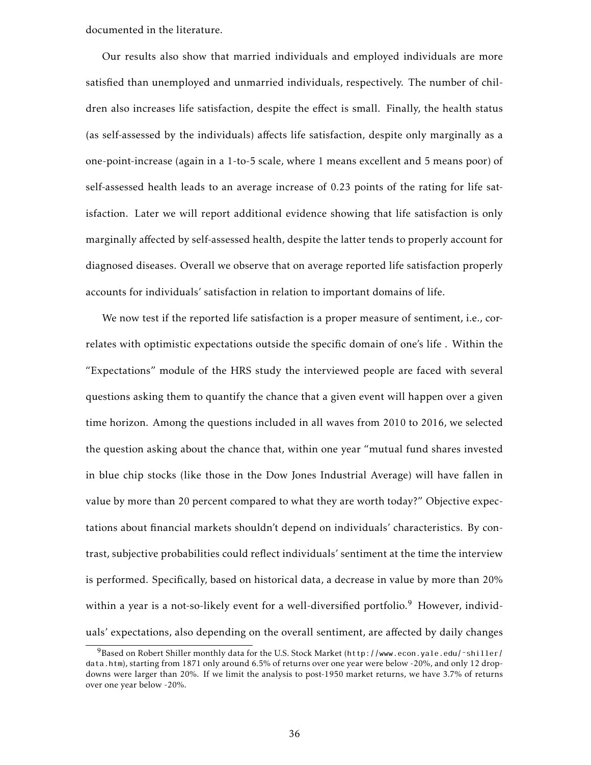documented in the literature.

Our results also show that married individuals and employed individuals are more satisfied than unemployed and unmarried individuals, respectively. The number of children also increases life satisfaction, despite the effect is small. Finally, the health status (as self-assessed by the individuals) affects life satisfaction, despite only marginally as a one-point-increase (again in a 1-to-5 scale, where 1 means excellent and 5 means poor) of self-assessed health leads to an average increase of 0.23 points of the rating for life satisfaction. Later we will report additional evidence showing that life satisfaction is only marginally affected by self-assessed health, despite the latter tends to properly account for diagnosed diseases. Overall we observe that on average reported life satisfaction properly accounts for individuals' satisfaction in relation to important domains of life.

We now test if the reported life satisfaction is a proper measure of sentiment, i.e., correlates with optimistic expectations outside the specific domain of one's life . Within the "Expectations" module of the HRS study the interviewed people are faced with several questions asking them to quantify the chance that a given event will happen over a given time horizon. Among the questions included in all waves from 2010 to 2016, we selected the question asking about the chance that, within one year "mutual fund shares invested in blue chip stocks (like those in the Dow Jones Industrial Average) will have fallen in value by more than 20 percent compared to what they are worth today?" Objective expectations about financial markets shouldn't depend on individuals' characteristics. By contrast, subjective probabilities could reflect individuals' sentiment at the time the interview is performed. Specifically, based on historical data, a decrease in value by more than 20% within a year is a not-so-likely event for a well-diversified portfolio.<sup>9</sup> However, individuals' expectations, also depending on the overall sentiment, are affected by daily changes

<sup>9</sup>Based on Robert Shiller monthly data for the U.S. Stock Market (http://www.econ.yale.edu/˜shiller/ data.htm), starting from 1871 only around 6.5% of returns over one year were below -20%, and only 12 dropdowns were larger than 20%. If we limit the analysis to post-1950 market returns, we have 3.7% of returns over one year below -20%.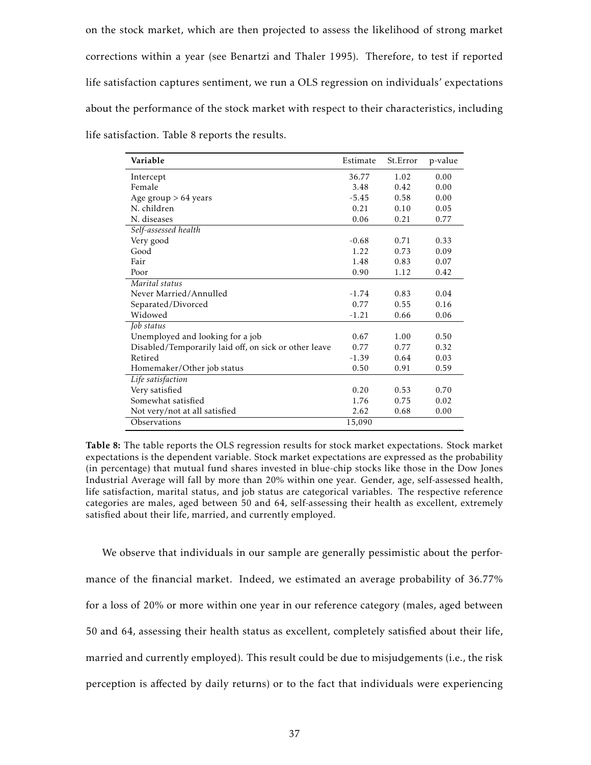on the stock market, which are then projected to assess the likelihood of strong market corrections within a year (see Benartzi and Thaler 1995). Therefore, to test if reported life satisfaction captures sentiment, we run a OLS regression on individuals' expectations about the performance of the stock market with respect to their characteristics, including life satisfaction. Table 8 reports the results.

| Variable                                              | Estimate | St.Error | p-value |
|-------------------------------------------------------|----------|----------|---------|
| Intercept                                             | 36.77    | 1.02     | 0.00    |
| Female                                                | 3.48     | 0.42     | 0.00    |
| Age group $> 64$ years                                | $-5.45$  | 0.58     | 0.00    |
| N. children                                           | 0.21     | 0.10     | 0.05    |
| N. diseases                                           | 0.06     | 0.21     | 0.77    |
| Self-assessed health                                  |          |          |         |
| Very good                                             | $-0.68$  | 0.71     | 0.33    |
| Good                                                  | 1.22     | 0.73     | 0.09    |
| Fair                                                  | 1.48     | 0.83     | 0.07    |
| Poor                                                  | 0.90     | 1.12     | 0.42    |
| Marital status                                        |          |          |         |
| Never Married/Annulled                                | $-1.74$  | 0.83     | 0.04    |
| Separated/Divorced                                    | 0.77     | 0.55     | 0.16    |
| Widowed                                               | $-1.21$  | 0.66     | 0.06    |
| Job status                                            |          |          |         |
| Unemployed and looking for a job                      | 0.67     | 1.00     | 0.50    |
| Disabled/Temporarily laid off, on sick or other leave | 0.77     | 0.77     | 0.32    |
| Retired                                               | $-1.39$  | 0.64     | 0.03    |
| Homemaker/Other job status                            | 0.50     | 0.91     | 0.59    |
| Life satisfaction                                     |          |          |         |
| Very satisfied                                        | 0.20     | 0.53     | 0.70    |
| Somewhat satisfied                                    | 1.76     | 0.75     | 0.02    |
| Not very/not at all satisfied                         | 2.62     | 0.68     | 0.00    |
| Observations                                          | 15,090   |          |         |

Table 8: The table reports the OLS regression results for stock market expectations. Stock market expectations is the dependent variable. Stock market expectations are expressed as the probability (in percentage) that mutual fund shares invested in blue-chip stocks like those in the Dow Jones Industrial Average will fall by more than 20% within one year. Gender, age, self-assessed health, life satisfaction, marital status, and job status are categorical variables. The respective reference categories are males, aged between 50 and 64, self-assessing their health as excellent, extremely satisfied about their life, married, and currently employed.

We observe that individuals in our sample are generally pessimistic about the performance of the financial market. Indeed, we estimated an average probability of 36.77% for a loss of 20% or more within one year in our reference category (males, aged between 50 and 64, assessing their health status as excellent, completely satisfied about their life, married and currently employed). This result could be due to misjudgements (i.e., the risk perception is affected by daily returns) or to the fact that individuals were experiencing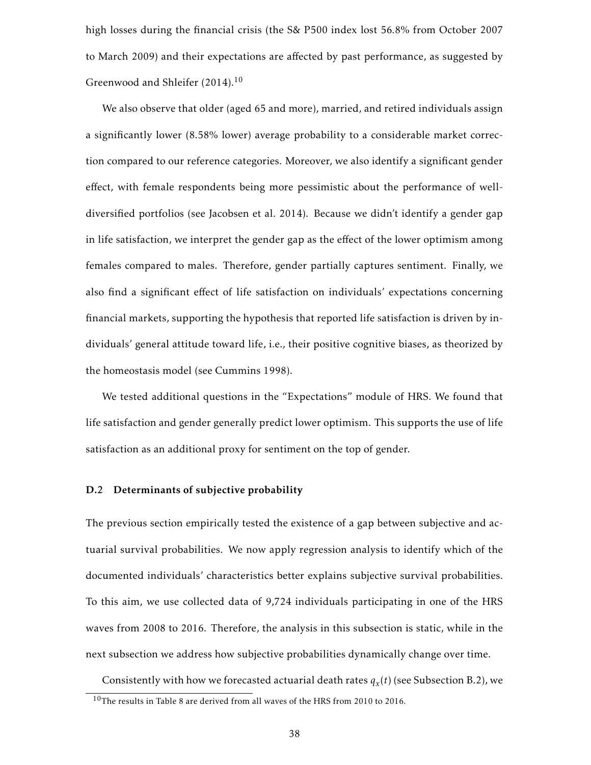high losses during the financial crisis (the S& P500 index lost 56*.*8% from October 2007 to March 2009) and their expectations are affected by past performance, as suggested by Greenwood and Shleifer (2014).<sup>10</sup>

We also observe that older (aged 65 and more), married, and retired individuals assign a significantly lower (8.58% lower) average probability to a considerable market correction compared to our reference categories. Moreover, we also identify a significant gender effect, with female respondents being more pessimistic about the performance of welldiversified portfolios (see Jacobsen et al. 2014). Because we didn't identify a gender gap in life satisfaction, we interpret the gender gap as the effect of the lower optimism among females compared to males. Therefore, gender partially captures sentiment. Finally, we also find a significant effect of life satisfaction on individuals' expectations concerning financial markets, supporting the hypothesis that reported life satisfaction is driven by individuals' general attitude toward life, i.e., their positive cognitive biases, as theorized by the homeostasis model (see Cummins 1998).

We tested additional questions in the "Expectations" module of HRS. We found that life satisfaction and gender generally predict lower optimism. This supports the use of life satisfaction as an additional proxy for sentiment on the top of gender.

#### D.2 Determinants of subjective probability

The previous section empirically tested the existence of a gap between subjective and actuarial survival probabilities. We now apply regression analysis to identify which of the documented individuals' characteristics better explains subjective survival probabilities. To this aim, we use collected data of 9,724 individuals participating in one of the HRS waves from 2008 to 2016. Therefore, the analysis in this subsection is static, while in the next subsection we address how subjective probabilities dynamically change over time.

Consistently with how we forecasted actuarial death rates  $q_x(t)$  (see Subsection B.2), we

 $10$ The results in Table 8 are derived from all waves of the HRS from 2010 to 2016.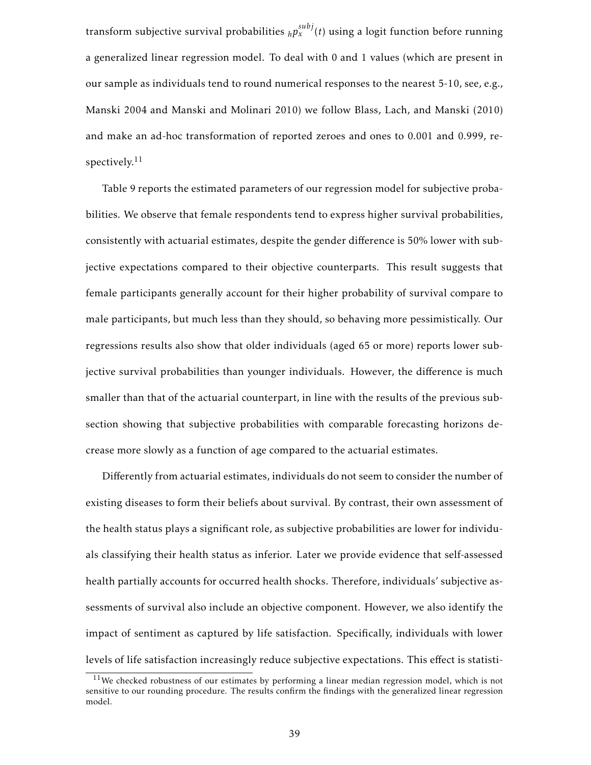transform subjective survival probabilities  ${}_hp^{subj}_x(t)$  using a logit function before running a generalized linear regression model. To deal with 0 and 1 values (which are present in our sample as individuals tend to round numerical responses to the nearest 5-10, see, e.g., Manski 2004 and Manski and Molinari 2010) we follow Blass, Lach, and Manski (2010) and make an ad-hoc transformation of reported zeroes and ones to 0.001 and 0.999, respectively. $11$ 

Table 9 reports the estimated parameters of our regression model for subjective probabilities. We observe that female respondents tend to express higher survival probabilities, consistently with actuarial estimates, despite the gender difference is 50% lower with subjective expectations compared to their objective counterparts. This result suggests that female participants generally account for their higher probability of survival compare to male participants, but much less than they should, so behaving more pessimistically. Our regressions results also show that older individuals (aged 65 or more) reports lower subjective survival probabilities than younger individuals. However, the difference is much smaller than that of the actuarial counterpart, in line with the results of the previous subsection showing that subjective probabilities with comparable forecasting horizons decrease more slowly as a function of age compared to the actuarial estimates.

Differently from actuarial estimates, individuals do not seem to consider the number of existing diseases to form their beliefs about survival. By contrast, their own assessment of the health status plays a significant role, as subjective probabilities are lower for individuals classifying their health status as inferior. Later we provide evidence that self-assessed health partially accounts for occurred health shocks. Therefore, individuals' subjective assessments of survival also include an objective component. However, we also identify the impact of sentiment as captured by life satisfaction. Specifically, individuals with lower levels of life satisfaction increasingly reduce subjective expectations. This effect is statisti-

 $11$ We checked robustness of our estimates by performing a linear median regression model, which is not sensitive to our rounding procedure. The results confirm the findings with the generalized linear regression model.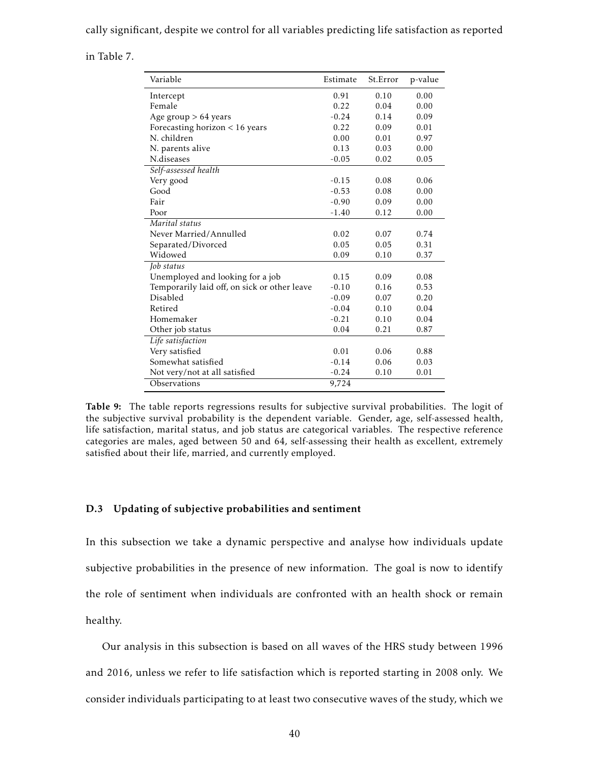cally significant, despite we control for all variables predicting life satisfaction as reported

in Table 7.

| Variable                                     | Estimate | St.Error | p-value |
|----------------------------------------------|----------|----------|---------|
| Intercept                                    | 0.91     | 0.10     | 0.00    |
| Female                                       | 0.22     | 0.04     | 0.00    |
| Age group > 64 years                         | $-0.24$  | 0.14     | 0.09    |
| Forecasting horizon $< 16$ years             | 0.22     | 0.09     | 0.01    |
| N. children                                  | 0.00     | 0.01     | 0.97    |
| N. parents alive                             | 0.13     | 0.03     | 0.00    |
| N.diseases                                   | $-0.05$  | 0.02     | 0.05    |
| Self-assessed health                         |          |          |         |
| Very good                                    | $-0.15$  | 0.08     | 0.06    |
| Good                                         | $-0.53$  | 0.08     | 0.00    |
| Fair                                         | $-0.90$  | 0.09     | 0.00    |
| Poor                                         | $-1.40$  | 0.12     | 0.00    |
| Marital status                               |          |          |         |
| Never Married/Annulled                       | 0.02     | 0.07     | 0.74    |
| Separated/Divorced                           | 0.05     | 0.05     | 0.31    |
| Widowed                                      | 0.09     | 0.10     | 0.37    |
| Job status                                   |          |          |         |
| Unemployed and looking for a job             | 0.15     | 0.09     | 0.08    |
| Temporarily laid off, on sick or other leave | $-0.10$  | 0.16     | 0.53    |
| Disabled                                     | $-0.09$  | 0.07     | 0.20    |
| Retired                                      | $-0.04$  | 0.10     | 0.04    |
| Homemaker                                    | $-0.21$  | 0.10     | 0.04    |
| Other job status                             | 0.04     | 0.21     | 0.87    |
| Life satisfaction                            |          |          |         |
| Very satisfied                               | 0.01     | 0.06     | 0.88    |
| Somewhat satisfied                           | $-0.14$  | 0.06     | 0.03    |
| Not very/not at all satisfied                | $-0.24$  | 0.10     | 0.01    |
| Observations                                 | 9,724    |          |         |

Table 9: The table reports regressions results for subjective survival probabilities. The logit of the subjective survival probability is the dependent variable. Gender, age, self-assessed health, life satisfaction, marital status, and job status are categorical variables. The respective reference categories are males, aged between 50 and 64, self-assessing their health as excellent, extremely satisfied about their life, married, and currently employed.

#### D.3 Updating of subjective probabilities and sentiment

In this subsection we take a dynamic perspective and analyse how individuals update subjective probabilities in the presence of new information. The goal is now to identify the role of sentiment when individuals are confronted with an health shock or remain healthy.

Our analysis in this subsection is based on all waves of the HRS study between 1996 and 2016, unless we refer to life satisfaction which is reported starting in 2008 only. We consider individuals participating to at least two consecutive waves of the study, which we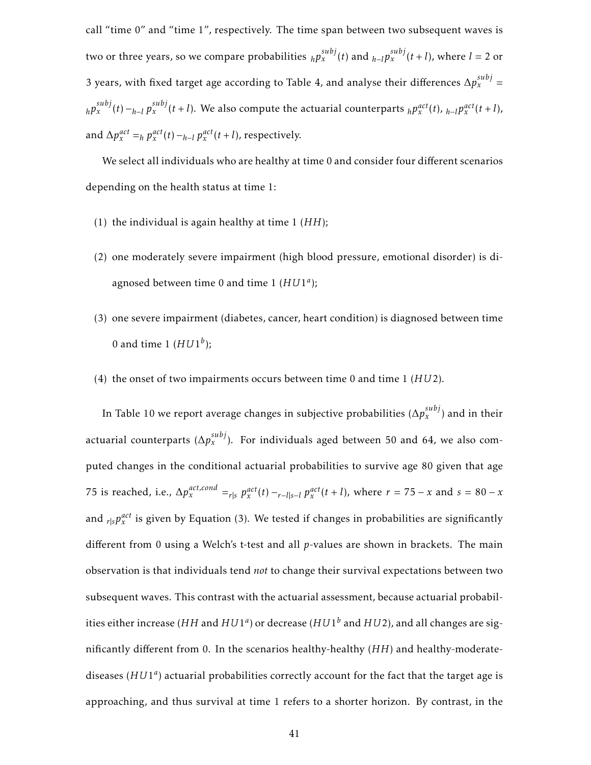call "time 0" and "time 1", respectively. The time span between two subsequent waves is two or three years, so we compare probabilities  $_{h}p_{x}^{subj}(t)$  and  $_{h-l}p_{x}^{subj}(t+l)$ , where  $l=2$  or 3 years, with fixed target age according to Table 4, and analyse their differences  $\Delta p_{x}^{subj} =$  $_{h}p_{x}^{subj}(t) - _{h-l}p_{x}^{subj}(t+l)$ . We also compute the actuarial counterparts  $_{h}p_{x}^{act}(t)$ ,  $_{h-l}p_{x}^{act}(t+l)$ , and  $\Delta p_x^{act} =_h p_x^{act}(t) -_{h-l} p_x^{act}(t+l)$ , respectively.

We select all individuals who are healthy at time 0 and consider four different scenarios depending on the health status at time 1:

- (1) the individual is again healthy at time 1 (*HH*);
- (2) one moderately severe impairment (high blood pressure, emotional disorder) is diagnosed between time 0 and time 1 (*HU*1 *a* );
- (3) one severe impairment (diabetes, cancer, heart condition) is diagnosed between time 0 and time 1  $(HU1<sup>b</sup>)$ ;
- (4) the onset of two impairments occurs between time 0 and time 1 (*HU*2).

In Table 10 we report average changes in subjective probabilities  $(\Delta p_{x}^{subj})$  and in their actuarial counterparts ( $\Delta p_{x}^{subj}$ ). For individuals aged between 50 and 64, we also computed changes in the conditional actuarial probabilities to survive age 80 given that age 75 is reached, i.e.,  $\Delta p_x^{act,cond} =_{r|s} p_x^{act}(t) -_{r-1|s-1} p_x^{act}(t+l)$ , where  $r = 75 - x$  and  $s = 80 - x$ and  $r_{|S}p_{x}^{act}$  is given by Equation (3). We tested if changes in probabilities are significantly different from 0 using a Welch's t-test and all *p*-values are shown in brackets. The main observation is that individuals tend *not* to change their survival expectations between two subsequent waves. This contrast with the actuarial assessment, because actuarial probabilities either increase (*HH* and  $HUI^a$ ) or decrease ( $HUI^b$  and  $HU2$ ), and all changes are significantly different from 0. In the scenarios healthy-healthy (*HH*) and healthy-moderatediseases (HU1<sup>a</sup>) actuarial probabilities correctly account for the fact that the target age is approaching, and thus survival at time 1 refers to a shorter horizon. By contrast, in the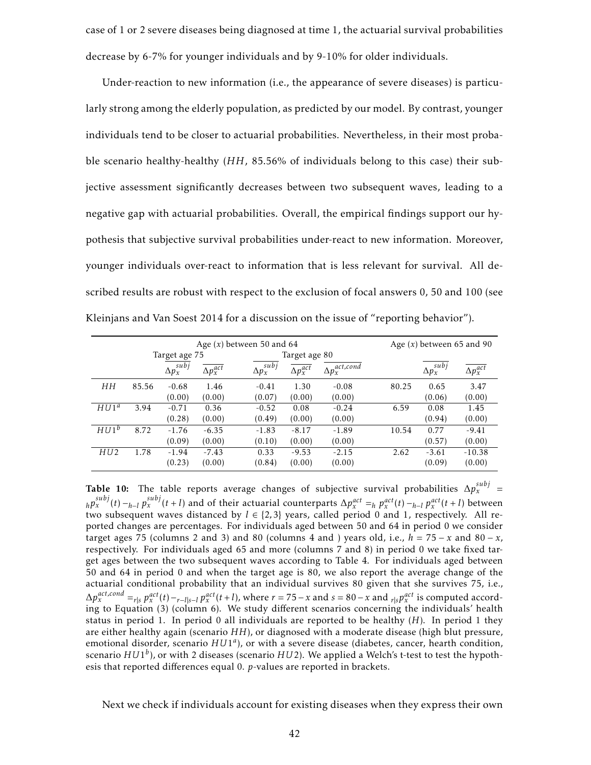case of 1 or 2 severe diseases being diagnosed at time 1, the actuarial survival probabilities decrease by 6-7% for younger individuals and by 9-10% for older individuals.

Under-reaction to new information (i.e., the appearance of severe diseases) is particularly strong among the elderly population, as predicted by our model. By contrast, younger individuals tend to be closer to actuarial probabilities. Nevertheless, in their most probable scenario healthy-healthy (*HH*, 85.56% of individuals belong to this case) their subjective assessment significantly decreases between two subsequent waves, leading to a negative gap with actuarial probabilities. Overall, the empirical findings support our hypothesis that subjective survival probabilities under-react to new information. Moreover, younger individuals over-react to information that is less relevant for survival. All described results are robust with respect to the exclusion of focal answers 0, 50 and 100 (see Kleinjans and Van Soest 2014 for a discussion on the issue of "reporting behavior").

|                  |       |                     |                    | Age $(x)$ between 50 and 64 |                    |                         |       | Age $(x)$ between 65 and 90 |                    |
|------------------|-------|---------------------|--------------------|-----------------------------|--------------------|-------------------------|-------|-----------------------------|--------------------|
|                  |       | Target age 75       |                    |                             | Target age 80      |                         |       |                             |                    |
|                  |       | $\Delta p_x^{subj}$ | $\Delta p_x^{act}$ | subi<br>$\Delta p_x^{s}$    | $\Delta p_x^{act}$ | $\Delta p_x^{act,cond}$ |       | $\Delta p_x^{subj}$         | $\Delta p_x^{act}$ |
| HH               | 85.56 | $-0.68$             | 1.46               | $-0.41$                     | 1.30               | $-0.08$                 | 80.25 | 0.65                        | 3.47               |
|                  |       | (0.00)              | (0.00)             | (0.07)                      | (0.00)             | (0.00)                  |       | (0.06)                      | (0.00)             |
| HUI <sup>a</sup> | 3.94  | $-0.71$             | 0.36               | $-0.52$                     | 0.08               | $-0.24$                 | 6.59  | 0.08                        | 1.45               |
|                  |       | (0.28)              | (0.00)             | (0.49)                      | (0.00)             | (0.00)                  |       | (0.94)                      | (0.00)             |
| HUI <sup>b</sup> | 8.72  | $-1.76$             | $-6.35$            | $-1.83$                     | $-8.17$            | $-1.89$                 | 10.54 | 0.77                        | $-9.41$            |
|                  |       | (0.09)              | (0.00)             | (0.10)                      | (0.00)             | (0.00)                  |       | (0.57)                      | (0.00)             |
| HU2              | 1.78  | $-1.94$             | $-7.43$            | 0.33                        | $-9.53$            | $-2.15$                 | 2.62  | $-3.61$                     | $-10.38$           |
|                  |       | (0.23)              | (0.00)             | (0.84)                      | (0.00)             | (0.00)                  |       | (0.09)                      | (0.00)             |

Table 10: The table reports average changes of subjective survival probabilities  $\Delta p_{x}^{subj}$  =  $h p_x^{subj}(t) - h - l p_x^{subj}(t+l)$  and of their actuarial counterparts  $\Delta p_x^{act} =_h p_x^{act}(t) - h - l p_x^{act}(t+l)$  between two subsequent waves distanced by  $l \in \{2,3\}$  years, called period 0 and 1, respectively. All reported changes are percentages. For individuals aged between 50 and 64 in period 0 we consider target ages 75 (columns 2 and 3) and 80 (columns 4 and ) years old, i.e.,  $h = 75 - x$  and  $80 - x$ , respectively. For individuals aged 65 and more (columns 7 and 8) in period 0 we take fixed target ages between the two subsequent waves according to Table 4. For individuals aged between 50 and 64 in period 0 and when the target age is 80, we also report the average change of the actuarial conditional probability that an individual survives 80 given that she survives 75, i.e.,  $\Delta p_x^{act,cond} =_{r|s} p_x^{act}(t) -_{r-l|s-l} p_x^{act}(t+l)$ , where  $r = 75 - x$  and  $s = 80 - x$  and  $_{r|s} p_x^{act}$  is computed according to Equation (3) (column 6). We study different scenarios concerning the individuals' health status in period 1. In period 0 all individuals are reported to be healthy (*H*). In period 1 they are either healthy again (scenario *HH*), or diagnosed with a moderate disease (high blut pressure, emotional disorder, scenario  $HUI<sup>a</sup>$ ), or with a severe disease (diabetes, cancer, hearth condition, scenario *HU*1 *b* ), or with 2 diseases (scenario *HU*2). We applied a Welch's t-test to test the hypothesis that reported differences equal 0. *p*-values are reported in brackets.

Next we check if individuals account for existing diseases when they express their own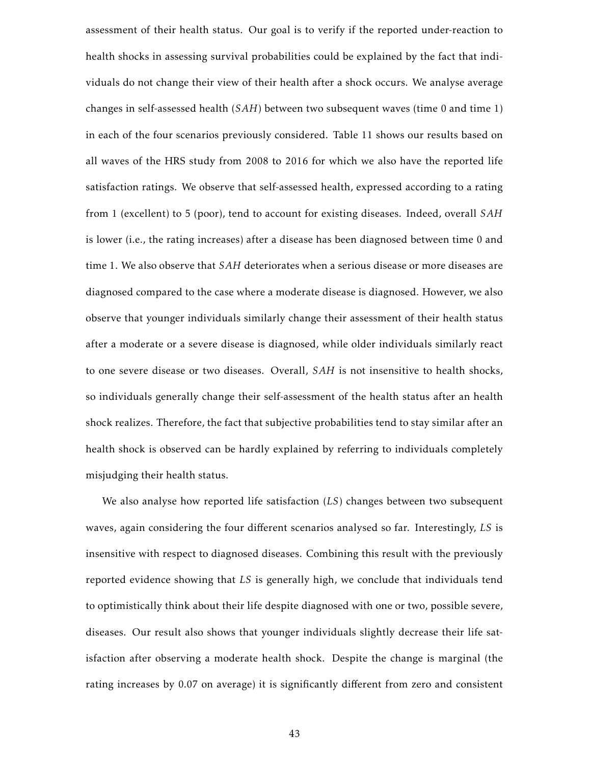assessment of their health status. Our goal is to verify if the reported under-reaction to health shocks in assessing survival probabilities could be explained by the fact that individuals do not change their view of their health after a shock occurs. We analyse average changes in self-assessed health (*SAH*) between two subsequent waves (time 0 and time 1) in each of the four scenarios previously considered. Table 11 shows our results based on all waves of the HRS study from 2008 to 2016 for which we also have the reported life satisfaction ratings. We observe that self-assessed health, expressed according to a rating from 1 (excellent) to 5 (poor), tend to account for existing diseases. Indeed, overall *SAH* is lower (i.e., the rating increases) after a disease has been diagnosed between time 0 and time 1. We also observe that *SAH* deteriorates when a serious disease or more diseases are diagnosed compared to the case where a moderate disease is diagnosed. However, we also observe that younger individuals similarly change their assessment of their health status after a moderate or a severe disease is diagnosed, while older individuals similarly react to one severe disease or two diseases. Overall, *SAH* is not insensitive to health shocks, so individuals generally change their self-assessment of the health status after an health shock realizes. Therefore, the fact that subjective probabilities tend to stay similar after an health shock is observed can be hardly explained by referring to individuals completely misjudging their health status.

We also analyse how reported life satisfaction (*LS*) changes between two subsequent waves, again considering the four different scenarios analysed so far. Interestingly, *LS* is insensitive with respect to diagnosed diseases. Combining this result with the previously reported evidence showing that *LS* is generally high, we conclude that individuals tend to optimistically think about their life despite diagnosed with one or two, possible severe, diseases. Our result also shows that younger individuals slightly decrease their life satisfaction after observing a moderate health shock. Despite the change is marginal (the rating increases by 0.07 on average) it is significantly different from zero and consistent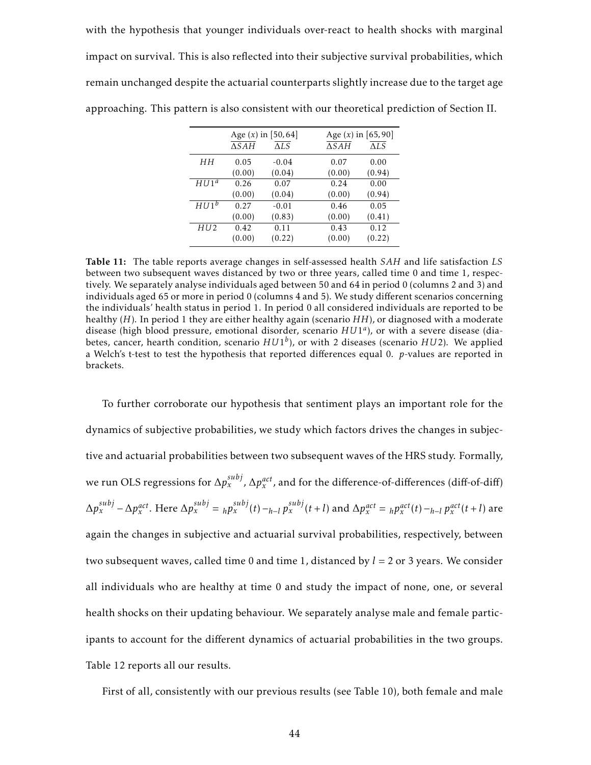with the hypothesis that younger individuals over-react to health shocks with marginal impact on survival. This is also reflected into their subjective survival probabilities, which remain unchanged despite the actuarial counterparts slightly increase due to the target age approaching. This pattern is also consistent with our theoretical prediction of Section II.

|                  |                 | Age $(x)$ in [50,64] | Age $(x)$ in $[65, 90]$ |        |
|------------------|-----------------|----------------------|-------------------------|--------|
|                  | $\triangle SAH$ | $\Delta LS$          | $\triangle SAH$         | ALS    |
| HН               | 0.05            | $-0.04$              | 0.07                    | 0.00   |
|                  | (0.00)          | (0.04)               | (0.00)                  | (0.94) |
| $HUI^a$          | 0.26            | 0.07                 | 0.24                    | 0.00   |
|                  | (0.00)          | (0.04)               | (0.00)                  | (0.94) |
| HUI <sup>b</sup> | 0.27            | $-0.01$              | 0.46                    | 0.05   |
|                  | (0.00)          | (0.83)               | (0.00)                  | (0.41) |
| HU <sub>2</sub>  | 0.42            | 0.11                 | 0.43                    | 0.12   |
|                  | (0.00)          | (0.22)               | (0.00)                  | (0.22) |

Table 11: The table reports average changes in self-assessed health *SAH* and life satisfaction *LS* between two subsequent waves distanced by two or three years, called time 0 and time 1, respectively. We separately analyse individuals aged between 50 and 64 in period 0 (columns 2 and 3) and individuals aged 65 or more in period 0 (columns 4 and 5). We study different scenarios concerning the individuals' health status in period 1. In period 0 all considered individuals are reported to be healthy (*H*). In period 1 they are either healthy again (scenario *HH*), or diagnosed with a moderate disease (high blood pressure, emotional disorder, scenario *HU*1 *a* ), or with a severe disease (diabetes, cancer, hearth condition, scenario *HU*1 *b* ), or with 2 diseases (scenario *HU*2). We applied a Welch's t-test to test the hypothesis that reported differences equal 0. *p*-values are reported in brackets.

To further corroborate our hypothesis that sentiment plays an important role for the dynamics of subjective probabilities, we study which factors drives the changes in subjective and actuarial probabilities between two subsequent waves of the HRS study. Formally, we run OLS regressions for  $\Delta p_{x}^{subj}$ ,  $\Delta p_{x}^{act}$ , and for the difference-of-differences (diff-of-diff)  $\Delta p_x^{subj} - \Delta p_x^{act}$ . Here  $\Delta p_x^{subj} = h p_x^{subj}(t) - h - l p_x^{subj}(t + l)$  and  $\Delta p_x^{act} = h p_x^{act}(t) - h - l p_x^{act}(t + l)$  are again the changes in subjective and actuarial survival probabilities, respectively, between two subsequent waves, called time 0 and time 1, distanced by *l* = 2 or 3 years. We consider all individuals who are healthy at time 0 and study the impact of none, one, or several health shocks on their updating behaviour. We separately analyse male and female participants to account for the different dynamics of actuarial probabilities in the two groups. Table 12 reports all our results.

First of all, consistently with our previous results (see Table 10), both female and male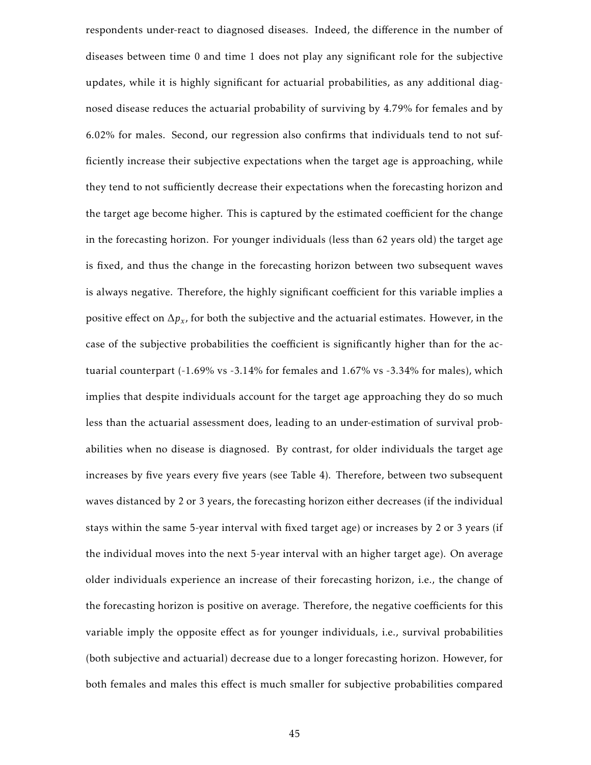respondents under-react to diagnosed diseases. Indeed, the difference in the number of diseases between time 0 and time 1 does not play any significant role for the subjective updates, while it is highly significant for actuarial probabilities, as any additional diagnosed disease reduces the actuarial probability of surviving by 4.79% for females and by 6.02% for males. Second, our regression also confirms that individuals tend to not sufficiently increase their subjective expectations when the target age is approaching, while they tend to not sufficiently decrease their expectations when the forecasting horizon and the target age become higher. This is captured by the estimated coefficient for the change in the forecasting horizon. For younger individuals (less than 62 years old) the target age is fixed, and thus the change in the forecasting horizon between two subsequent waves is always negative. Therefore, the highly significant coefficient for this variable implies a positive effect on  $\Delta p_x$ , for both the subjective and the actuarial estimates. However, in the case of the subjective probabilities the coefficient is significantly higher than for the actuarial counterpart (-1.69% vs -3.14% for females and 1.67% vs -3.34% for males), which implies that despite individuals account for the target age approaching they do so much less than the actuarial assessment does, leading to an under-estimation of survival probabilities when no disease is diagnosed. By contrast, for older individuals the target age increases by five years every five years (see Table 4). Therefore, between two subsequent waves distanced by 2 or 3 years, the forecasting horizon either decreases (if the individual stays within the same 5-year interval with fixed target age) or increases by 2 or 3 years (if the individual moves into the next 5-year interval with an higher target age). On average older individuals experience an increase of their forecasting horizon, i.e., the change of the forecasting horizon is positive on average. Therefore, the negative coefficients for this variable imply the opposite effect as for younger individuals, i.e., survival probabilities (both subjective and actuarial) decrease due to a longer forecasting horizon. However, for both females and males this effect is much smaller for subjective probabilities compared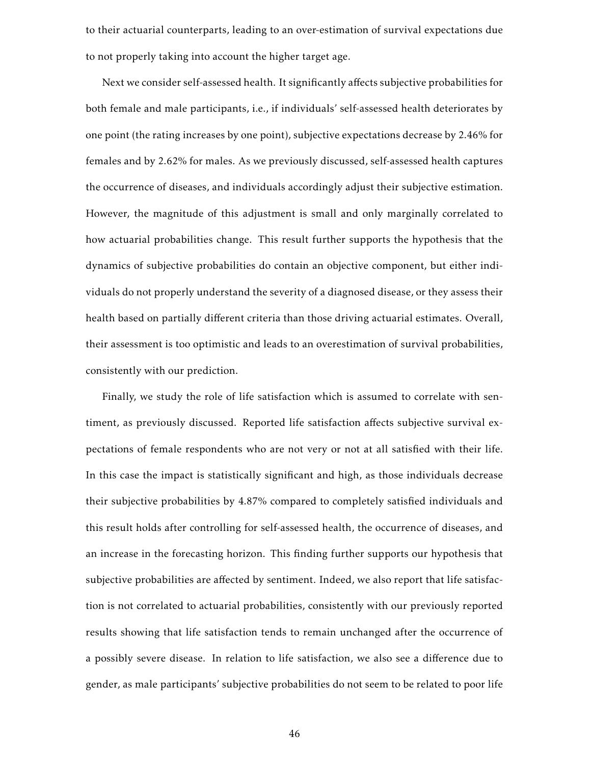to their actuarial counterparts, leading to an over-estimation of survival expectations due to not properly taking into account the higher target age.

Next we consider self-assessed health. It significantly affects subjective probabilities for both female and male participants, i.e., if individuals' self-assessed health deteriorates by one point (the rating increases by one point), subjective expectations decrease by 2.46% for females and by 2.62% for males. As we previously discussed, self-assessed health captures the occurrence of diseases, and individuals accordingly adjust their subjective estimation. However, the magnitude of this adjustment is small and only marginally correlated to how actuarial probabilities change. This result further supports the hypothesis that the dynamics of subjective probabilities do contain an objective component, but either individuals do not properly understand the severity of a diagnosed disease, or they assess their health based on partially different criteria than those driving actuarial estimates. Overall, their assessment is too optimistic and leads to an overestimation of survival probabilities, consistently with our prediction.

Finally, we study the role of life satisfaction which is assumed to correlate with sentiment, as previously discussed. Reported life satisfaction affects subjective survival expectations of female respondents who are not very or not at all satisfied with their life. In this case the impact is statistically significant and high, as those individuals decrease their subjective probabilities by 4.87% compared to completely satisfied individuals and this result holds after controlling for self-assessed health, the occurrence of diseases, and an increase in the forecasting horizon. This finding further supports our hypothesis that subjective probabilities are affected by sentiment. Indeed, we also report that life satisfaction is not correlated to actuarial probabilities, consistently with our previously reported results showing that life satisfaction tends to remain unchanged after the occurrence of a possibly severe disease. In relation to life satisfaction, we also see a difference due to gender, as male participants' subjective probabilities do not seem to be related to poor life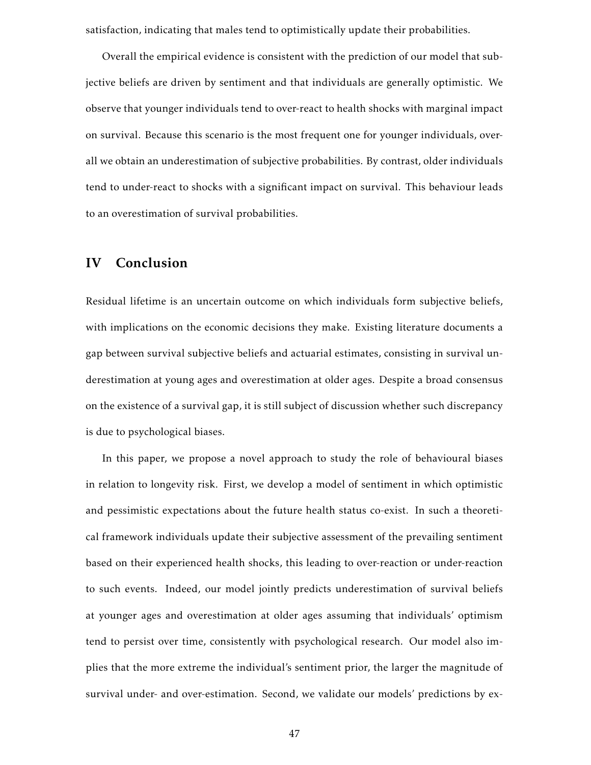satisfaction, indicating that males tend to optimistically update their probabilities.

Overall the empirical evidence is consistent with the prediction of our model that subjective beliefs are driven by sentiment and that individuals are generally optimistic. We observe that younger individuals tend to over-react to health shocks with marginal impact on survival. Because this scenario is the most frequent one for younger individuals, overall we obtain an underestimation of subjective probabilities. By contrast, older individuals tend to under-react to shocks with a significant impact on survival. This behaviour leads to an overestimation of survival probabilities.

## IV Conclusion

Residual lifetime is an uncertain outcome on which individuals form subjective beliefs, with implications on the economic decisions they make. Existing literature documents a gap between survival subjective beliefs and actuarial estimates, consisting in survival underestimation at young ages and overestimation at older ages. Despite a broad consensus on the existence of a survival gap, it is still subject of discussion whether such discrepancy is due to psychological biases.

In this paper, we propose a novel approach to study the role of behavioural biases in relation to longevity risk. First, we develop a model of sentiment in which optimistic and pessimistic expectations about the future health status co-exist. In such a theoretical framework individuals update their subjective assessment of the prevailing sentiment based on their experienced health shocks, this leading to over-reaction or under-reaction to such events. Indeed, our model jointly predicts underestimation of survival beliefs at younger ages and overestimation at older ages assuming that individuals' optimism tend to persist over time, consistently with psychological research. Our model also implies that the more extreme the individual's sentiment prior, the larger the magnitude of survival under- and over-estimation. Second, we validate our models' predictions by ex-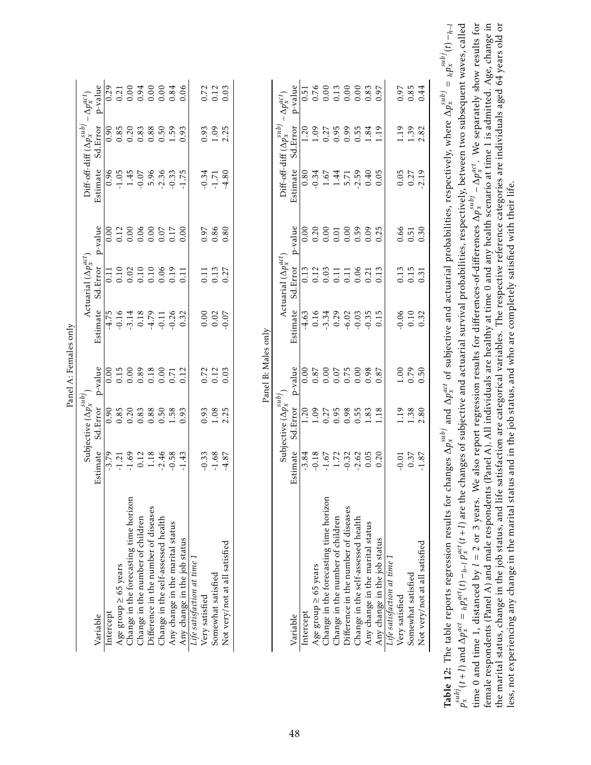| Variable                               |                                         |                                  |                            |                                                    |                                                                             |         |                             |                                    |                                  |
|----------------------------------------|-----------------------------------------|----------------------------------|----------------------------|----------------------------------------------------|-----------------------------------------------------------------------------|---------|-----------------------------|------------------------------------|----------------------------------|
|                                        |                                         | Subjective $(\Delta p_x^{subj}$  |                            |                                                    | Actuarial $(\Delta p_x^{act})$                                              |         |                             | Diff-off-diff $(\Delta p_x^{sub})$ | $-\Delta p_x^{act}$              |
|                                        | stimate                                 | Sd.Error                         | p-value                    | Estimate                                           | Sd.Error                                                                    | p-value | Estimate                    | Sd.Error                           | p-value                          |
| Intercept                              |                                         | 0.90                             |                            | $-4.75$                                            |                                                                             |         |                             |                                    |                                  |
| Age group $\geq 65$ years              |                                         | 0.85                             |                            |                                                    |                                                                             |         |                             |                                    |                                  |
| Change in the forecasting time horizon | $-3.79$<br>$-1.21$<br>$-1.69$           | 0.20                             | $0.00$<br>$0.15$<br>$0.00$ |                                                    |                                                                             |         | $0.96$<br>$-1.05$<br>$1.45$ | $0.90$<br>$0.85$<br>$0.20$         |                                  |
| Change in the number of children       | 0.12                                    | 0.83                             | 0.89                       |                                                    | $\begin{array}{c} 0.11 \\ 0.10 \\ 0.02 \\ 0.10 \\ 0.10 \\ 0.10 \end{array}$ |         | $-0.07$                     | 0.83                               |                                  |
| Difference in the number of diseases   | 1.18                                    | 0.88                             | 0.18                       |                                                    |                                                                             |         | 5.96                        |                                    |                                  |
| Change in the self-assessed health     | $-2.46$                                 | 0.50                             | 0.00                       | $-0.16$<br>$-3.14$<br>$0.18$<br>$-4.79$<br>$-0.11$ | 0.06                                                                        |         | $-2.36$                     | $0.88$<br>$0.50$                   |                                  |
| Any change in the marital status       | $-0.58$                                 | 1.58                             | 0.71                       | $-0.26$                                            | 0.19                                                                        |         | $-0.33$                     | 1.59                               |                                  |
| Any change in the job status           | $-1.43$                                 | 0.93                             | 0.12                       | 0.32                                               | 0.11                                                                        | 0.00    | $-1.75$                     | 0.93                               | 0.06                             |
| Life satisfaction at time 1            |                                         |                                  |                            |                                                    |                                                                             |         |                             |                                    |                                  |
| Very satisfied                         | $-0.33$                                 | 0.93                             |                            | 0.00                                               | 0.11                                                                        | 0.97    | $-0.34$                     | 0.93                               |                                  |
| Somewhat satisfied                     | $-1.68$                                 | 1.08                             | $0.72$<br>$0.12$           | 0.02                                               | 0.13                                                                        | 0.86    | $-1.71$                     | 1.09                               | 0.72<br>0.12                     |
| Not very/not at all satisfied          | $-4.87$                                 | 2.25                             | 0.03                       | $-0.07$                                            | 0.27                                                                        | 0.80    | $-4.80$                     | 2.25                               | 0.03                             |
|                                        |                                         |                                  | Panel B: Males only        |                                                    |                                                                             |         |                             |                                    |                                  |
|                                        |                                         | Subjective $(\Delta p_x^{subj})$ |                            |                                                    | Actuarial $(\Delta p_x^{act})$                                              |         |                             | Diff-off-diff $(\Delta p_x^{sub})$ | $-\Delta p_x^{act})$             |
| Variable                               | stimate                                 | Sd.Error                         | p-value                    | Estimate                                           | Sd.Error                                                                    | p-value | Estimate                    | Sd.Error                           | p-value                          |
| Intercept                              | 3.84                                    | 1.20                             | 0.00                       | 4.63                                               | 0.13                                                                        |         | 0.80                        | 1.20                               |                                  |
| Age group $\geq$ 65 years              |                                         | 1.09                             | $0.87\,$                   | 0.16                                               | 0.12                                                                        |         | $-0.34$                     | 1.09                               |                                  |
| Change in the forecasting time horizon |                                         | 0.27                             | 0.00                       | $-3.34$                                            | 0.03                                                                        |         |                             |                                    |                                  |
| Change in the number of children       | $-0.18$<br>$-1.67$<br>$1.72$<br>$-0.32$ | 0.95                             | $0.07$<br>$0.75$           | 0.29                                               | 0.11                                                                        |         | $1.67$<br>1.44              | $0.27$<br>$0.95$                   | 51<br>0.76<br>0.00000<br>0.00000 |
| Difference in the number of diseases   |                                         | 0.98                             |                            | $-6.02$                                            | 0.11                                                                        |         | 5.71                        | 0.99                               |                                  |
| Change in the self-assessed health     | $-2.62$                                 | 0.55                             | 0.00                       | $-0.03$                                            | 0.06                                                                        | 0.59    | $-2.59$                     | 0.55                               |                                  |
| Any change in the marital status       | 0.05                                    | 1.83                             | 0.98                       | $-0.35$                                            | 0.21                                                                        | 0.09    | 0.40                        | 1.84                               |                                  |
| Any change in the job status           | 0.20                                    | 1.18                             | 0.87                       | 0.15                                               | 0.13                                                                        | 0.25    | 0.05                        | 1.19                               | 0.97                             |
| Life satisfaction at time 1            |                                         |                                  |                            |                                                    |                                                                             |         |                             |                                    |                                  |
| Very satisfied                         | $-0.01$                                 | 1.19                             | $1.00\,$                   | $-0.06$                                            | 0.13                                                                        | 0.66    | 0.05                        | 1.19                               | 0.97                             |

time 0 and time 1, distanced by  $l = 2$  or 3 years. We also report regression results for differences-of-differences  $\Delta p_x^{subj} - \Delta p_x^{act}$ . We separately show results for female respondents (Panel A) and male respondents (Panel A). All individuals are healthy at time 0 and any health scenario at time 1 is admitted. Age, change in the marital status, change in the job status, and life satisfaction are categorical variables. The respective reference categories are individuals aged 64 years old or  $p_{x}^{subj}(t+l)$  and  $\Delta p_{x}^{act}=\\_h p_{x}^{act}(t)-_{h-l} p_{x}^{act}(t+l)$  are the changes of subjective and actuarial survival probabilities, respectively, between two subsequent waves, called Table 12: The table reports regression results for changes  $\Delta p_x^{subj}$  and  $\Delta p_x^{act}$  of subjective and actuarial probabilities, respectively, where  $\Delta p_x^{subj} = \frac{1}{h} p_x^{subj}(t) - \frac{1}{h-1}$  $p_{x}^{subj}(t+l)$  and  $\Delta p_{x}^{act} = {_h}p_{x}^{act}(t) - {_h-1}p_{x}^{act}(t+l)$  are the changes of subjective and actuarial survival probabilities, respectively, between two subsequent waves, called time 0 and time 1, distanced by *l* = 2 or 3 years. We also report regression results for differences-of-differences ∆*psubj x* − ∆*pact x* . We separately show results for female respondents (Panel A) and male respondents (Panel A). All individuals are healthy at time 0 and any health scenario at time 1 is admitted. Age, change in the marital status, change in the job status, and life satisfaction are categorical variables. The respective reference categories are individuals aged 64 years old or **Table 12:** The table reports regression results for changes  $\Delta p_x^{subj}$  and  $\Delta p_x^{act}$  of subjective and actuarial probabilities, respectively, where  $\Delta p_x^{subj} = {}_{h}p_x^{subj}(t) - {}_{h-l}$ less, not experiencing any change in the marital status and in the job status, and who are completely satisfied with their life. less, not experiencing any change in the marital status and in the job status, and who are completely satisfied with their life.

Somewhat satisfied 0.37 0.37 0.37 0.79 0.10 0.10 0.15 0.51 0.27 1.39 0.85 Not very/not at all satisfied -1.87 2.80 0.50 0.32 0.31 0.30 0.30 -2.19 2.82 0.44

 $1.38$ <br> $2.80$ 

 $0.37$ 

Not very/not at all satisfied Somewhat satisfied

0.79 0.50

0.85 0.44

1.39

2.82

 $-2.19$ 0.27

 $\frac{0.51}{0.30}$ 

 $0.15$ 

 $0.10$ 0.32

 $0.31$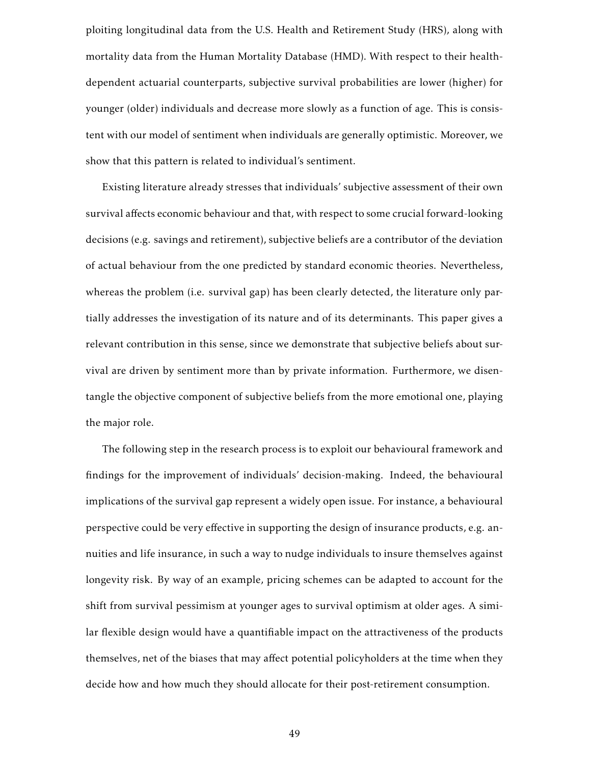ploiting longitudinal data from the U.S. Health and Retirement Study (HRS), along with mortality data from the Human Mortality Database (HMD). With respect to their healthdependent actuarial counterparts, subjective survival probabilities are lower (higher) for younger (older) individuals and decrease more slowly as a function of age. This is consistent with our model of sentiment when individuals are generally optimistic. Moreover, we show that this pattern is related to individual's sentiment.

Existing literature already stresses that individuals' subjective assessment of their own survival affects economic behaviour and that, with respect to some crucial forward-looking decisions (e.g. savings and retirement), subjective beliefs are a contributor of the deviation of actual behaviour from the one predicted by standard economic theories. Nevertheless, whereas the problem (i.e. survival gap) has been clearly detected, the literature only partially addresses the investigation of its nature and of its determinants. This paper gives a relevant contribution in this sense, since we demonstrate that subjective beliefs about survival are driven by sentiment more than by private information. Furthermore, we disentangle the objective component of subjective beliefs from the more emotional one, playing the major role.

The following step in the research process is to exploit our behavioural framework and findings for the improvement of individuals' decision-making. Indeed, the behavioural implications of the survival gap represent a widely open issue. For instance, a behavioural perspective could be very effective in supporting the design of insurance products, e.g. annuities and life insurance, in such a way to nudge individuals to insure themselves against longevity risk. By way of an example, pricing schemes can be adapted to account for the shift from survival pessimism at younger ages to survival optimism at older ages. A similar flexible design would have a quantifiable impact on the attractiveness of the products themselves, net of the biases that may affect potential policyholders at the time when they decide how and how much they should allocate for their post-retirement consumption.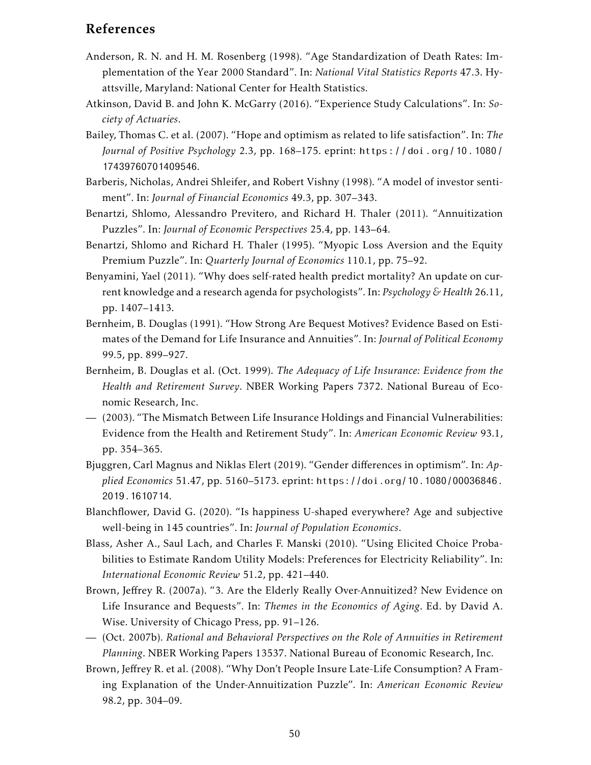## References

- Anderson, R. N. and H. M. Rosenberg (1998). "Age Standardization of Death Rates: Implementation of the Year 2000 Standard". In: *National Vital Statistics Reports* 47.3. Hyattsville, Maryland: National Center for Health Statistics.
- Atkinson, David B. and John K. McGarry (2016). "Experience Study Calculations". In: *Society of Actuaries*.
- Bailey, Thomas C. et al. (2007). "Hope and optimism as related to life satisfaction". In: *The Journal of Positive Psychology* 2.3, pp. 168–175. eprint: https://doi.org/10.1080/ 17439760701409546.
- Barberis, Nicholas, Andrei Shleifer, and Robert Vishny (1998). "A model of investor sentiment". In: *Journal of Financial Economics* 49.3, pp. 307–343.
- Benartzi, Shlomo, Alessandro Previtero, and Richard H. Thaler (2011). "Annuitization Puzzles". In: *Journal of Economic Perspectives* 25.4, pp. 143–64.
- Benartzi, Shlomo and Richard H. Thaler (1995). "Myopic Loss Aversion and the Equity Premium Puzzle". In: *Quarterly Journal of Economics* 110.1, pp. 75–92.
- Benyamini, Yael (2011). "Why does self-rated health predict mortality? An update on current knowledge and a research agenda for psychologists". In: *Psychology & Health* 26.11, pp. 1407–1413.
- Bernheim, B. Douglas (1991). "How Strong Are Bequest Motives? Evidence Based on Estimates of the Demand for Life Insurance and Annuities". In: *Journal of Political Economy* 99.5, pp. 899–927.
- Bernheim, B. Douglas et al. (Oct. 1999). *The Adequacy of Life Insurance: Evidence from the Health and Retirement Survey*. NBER Working Papers 7372. National Bureau of Economic Research, Inc.
- (2003). "The Mismatch Between Life Insurance Holdings and Financial Vulnerabilities: Evidence from the Health and Retirement Study". In: *American Economic Review* 93.1, pp. 354–365.
- Bjuggren, Carl Magnus and Niklas Elert (2019). "Gender differences in optimism". In: *Applied Economics* 51.47, pp. 5160–5173. eprint: https://doi.org/10.1080/00036846. 2019.1610714.
- Blanchflower, David G. (2020). "Is happiness U-shaped everywhere? Age and subjective well-being in 145 countries". In: *Journal of Population Economics*.
- Blass, Asher A., Saul Lach, and Charles F. Manski (2010). "Using Elicited Choice Probabilities to Estimate Random Utility Models: Preferences for Electricity Reliability". In: *International Economic Review* 51.2, pp. 421–440.
- Brown, Jeffrey R. (2007a). "3. Are the Elderly Really Over-Annuitized? New Evidence on Life Insurance and Bequests". In: *Themes in the Economics of Aging*. Ed. by David A. Wise. University of Chicago Press, pp. 91–126.
- (Oct. 2007b). *Rational and Behavioral Perspectives on the Role of Annuities in Retirement Planning*. NBER Working Papers 13537. National Bureau of Economic Research, Inc.
- Brown, Jeffrey R. et al. (2008). "Why Don't People Insure Late-Life Consumption? A Framing Explanation of the Under-Annuitization Puzzle". In: *American Economic Review* 98.2, pp. 304–09.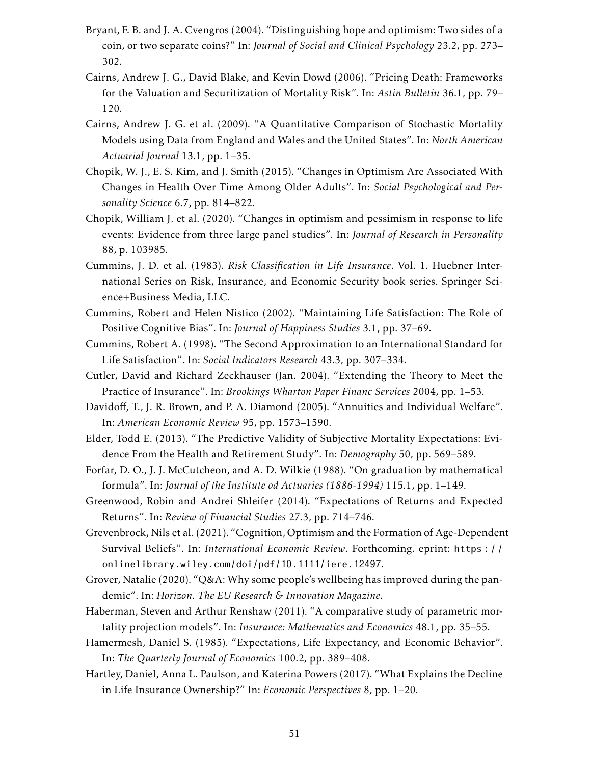- Bryant, F. B. and J. A. Cvengros (2004). "Distinguishing hope and optimism: Two sides of a coin, or two separate coins?" In: *Journal of Social and Clinical Psychology* 23.2, pp. 273– 302.
- Cairns, Andrew J. G., David Blake, and Kevin Dowd (2006). "Pricing Death: Frameworks for the Valuation and Securitization of Mortality Risk". In: *Astin Bulletin* 36.1, pp. 79– 120.
- Cairns, Andrew J. G. et al. (2009). "A Quantitative Comparison of Stochastic Mortality Models using Data from England and Wales and the United States". In: *North American Actuarial Journal* 13.1, pp. 1–35.
- Chopik, W. J., E. S. Kim, and J. Smith (2015). "Changes in Optimism Are Associated With Changes in Health Over Time Among Older Adults". In: *Social Psychological and Personality Science* 6.7, pp. 814–822.
- Chopik, William J. et al. (2020). "Changes in optimism and pessimism in response to life events: Evidence from three large panel studies". In: *Journal of Research in Personality* 88, p. 103985.
- Cummins, J. D. et al. (1983). *Risk Classification in Life Insurance*. Vol. 1. Huebner International Series on Risk, Insurance, and Economic Security book series. Springer Science+Business Media, LLC.
- Cummins, Robert and Helen Nistico (2002). "Maintaining Life Satisfaction: The Role of Positive Cognitive Bias". In: *Journal of Happiness Studies* 3.1, pp. 37–69.
- Cummins, Robert A. (1998). "The Second Approximation to an International Standard for Life Satisfaction". In: *Social Indicators Research* 43.3, pp. 307–334.
- Cutler, David and Richard Zeckhauser (Jan. 2004). "Extending the Theory to Meet the Practice of Insurance". In: *Brookings Wharton Paper Financ Services* 2004, pp. 1–53.
- Davidoff, T., J. R. Brown, and P. A. Diamond (2005). "Annuities and Individual Welfare". In: *American Economic Review* 95, pp. 1573–1590.
- Elder, Todd E. (2013). "The Predictive Validity of Subjective Mortality Expectations: Evidence From the Health and Retirement Study". In: *Demography* 50, pp. 569–589.
- Forfar, D. O., J. J. McCutcheon, and A. D. Wilkie (1988). "On graduation by mathematical formula". In: *Journal of the Institute od Actuaries (1886-1994)* 115.1, pp. 1–149.
- Greenwood, Robin and Andrei Shleifer (2014). "Expectations of Returns and Expected Returns". In: *Review of Financial Studies* 27.3, pp. 714–746.
- Grevenbrock, Nils et al. (2021). "Cognition, Optimism and the Formation of Age-Dependent Survival Beliefs". In: *International Economic Review*. Forthcoming. eprint: https : / / onlinelibrary.wiley.com/doi/pdf/10.1111/iere.12497.
- Grover, Natalie (2020). "Q&A: Why some people's wellbeing has improved during the pandemic". In: *Horizon. The EU Research & Innovation Magazine*.
- Haberman, Steven and Arthur Renshaw (2011). "A comparative study of parametric mortality projection models". In: *Insurance: Mathematics and Economics* 48.1, pp. 35–55.
- Hamermesh, Daniel S. (1985). "Expectations, Life Expectancy, and Economic Behavior". In: *The Quarterly Journal of Economics* 100.2, pp. 389–408.
- Hartley, Daniel, Anna L. Paulson, and Katerina Powers (2017). "What Explains the Decline in Life Insurance Ownership?" In: *Economic Perspectives* 8, pp. 1–20.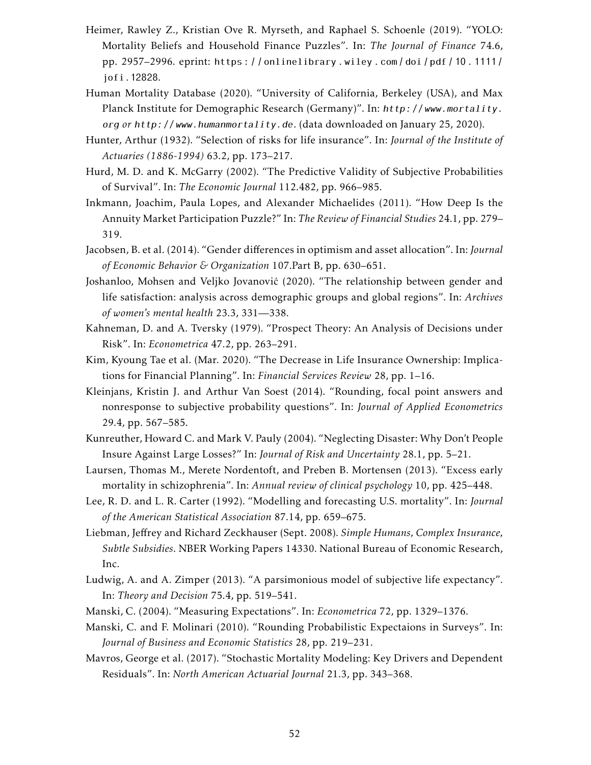- Heimer, Rawley Z., Kristian Ove R. Myrseth, and Raphael S. Schoenle (2019). "YOLO: Mortality Beliefs and Household Finance Puzzles". In: *The Journal of Finance* 74.6, pp. 2957–2996. eprint: https : / / onlinelibrary . wiley . com / doi / pdf / 10 . 1111 / jofi.12828.
- Human Mortality Database (2020). "University of California, Berkeley (USA), and Max Planck Institute for Demographic Research (Germany)". In: http:// www.mortality. org *or* http:// www.humanmortality.de. (data downloaded on January 25, 2020).
- Hunter, Arthur (1932). "Selection of risks for life insurance". In: *Journal of the Institute of Actuaries (1886-1994)* 63.2, pp. 173–217.
- Hurd, M. D. and K. McGarry (2002). "The Predictive Validity of Subjective Probabilities of Survival". In: *The Economic Journal* 112.482, pp. 966–985.
- Inkmann, Joachim, Paula Lopes, and Alexander Michaelides (2011). "How Deep Is the Annuity Market Participation Puzzle?" In: *The Review of Financial Studies* 24.1, pp. 279– 319.
- Jacobsen, B. et al. (2014). "Gender differences in optimism and asset allocation". In: *Journal of Economic Behavior & Organization* 107.Part B, pp. 630–651.
- Joshanloo, Mohsen and Veljko Jovanović (2020). "The relationship between gender and life satisfaction: analysis across demographic groups and global regions". In: *Archives of women's mental health* 23.3, 331—338.
- Kahneman, D. and A. Tversky (1979). "Prospect Theory: An Analysis of Decisions under Risk". In: *Econometrica* 47.2, pp. 263–291.
- Kim, Kyoung Tae et al. (Mar. 2020). "The Decrease in Life Insurance Ownership: Implications for Financial Planning". In: *Financial Services Review* 28, pp. 1–16.
- Kleinjans, Kristin J. and Arthur Van Soest (2014). "Rounding, focal point answers and nonresponse to subjective probability questions". In: *Journal of Applied Econometrics* 29.4, pp. 567–585.
- Kunreuther, Howard C. and Mark V. Pauly (2004). "Neglecting Disaster: Why Don't People Insure Against Large Losses?" In: *Journal of Risk and Uncertainty* 28.1, pp. 5–21.
- Laursen, Thomas M., Merete Nordentoft, and Preben B. Mortensen (2013). "Excess early mortality in schizophrenia". In: *Annual review of clinical psychology* 10, pp. 425–448.
- Lee, R. D. and L. R. Carter (1992). "Modelling and forecasting U.S. mortality". In: *Journal of the American Statistical Association* 87.14, pp. 659–675.
- Liebman, Jeffrey and Richard Zeckhauser (Sept. 2008). *Simple Humans, Complex Insurance, Subtle Subsidies*. NBER Working Papers 14330. National Bureau of Economic Research, Inc.
- Ludwig, A. and A. Zimper (2013). "A parsimonious model of subjective life expectancy". In: *Theory and Decision* 75.4, pp. 519–541.
- Manski, C. (2004). "Measuring Expectations". In: *Econometrica* 72, pp. 1329–1376.
- Manski, C. and F. Molinari (2010). "Rounding Probabilistic Expectaions in Surveys". In: *Journal of Business and Economic Statistics* 28, pp. 219–231.
- Mavros, George et al. (2017). "Stochastic Mortality Modeling: Key Drivers and Dependent Residuals". In: *North American Actuarial Journal* 21.3, pp. 343–368.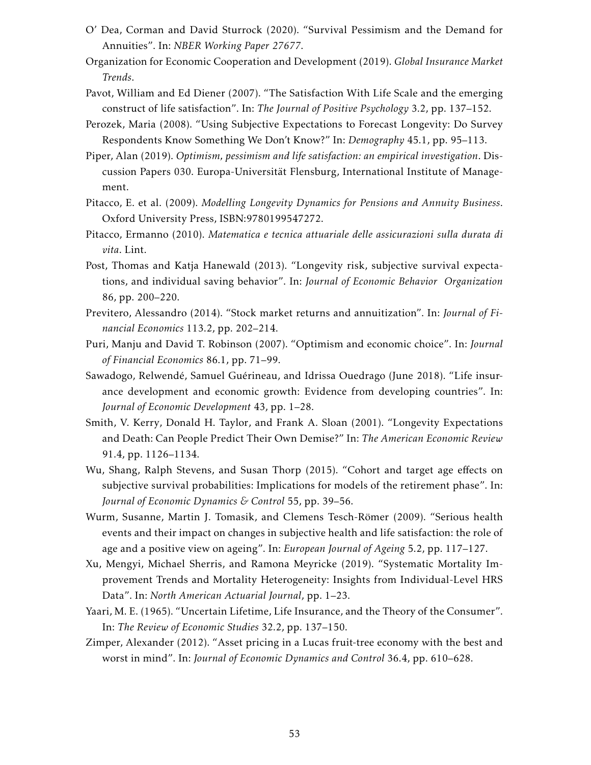- O' Dea, Corman and David Sturrock (2020). "Survival Pessimism and the Demand for Annuities". In: *NBER Working Paper 27677*.
- Organization for Economic Cooperation and Development (2019). *Global Insurance Market Trends*.
- Pavot, William and Ed Diener (2007). "The Satisfaction With Life Scale and the emerging construct of life satisfaction". In: *The Journal of Positive Psychology* 3.2, pp. 137–152.
- Perozek, Maria (2008). "Using Subjective Expectations to Forecast Longevity: Do Survey Respondents Know Something We Don't Know?" In: *Demography* 45.1, pp. 95–113.
- Piper, Alan (2019). *Optimism, pessimism and life satisfaction: an empirical investigation*. Discussion Papers 030. Europa-Universität Flensburg, International Institute of Management.
- Pitacco, E. et al. (2009). *Modelling Longevity Dynamics for Pensions and Annuity Business*. Oxford University Press, ISBN:9780199547272.
- Pitacco, Ermanno (2010). *Matematica e tecnica attuariale delle assicurazioni sulla durata di vita*. Lint.
- Post, Thomas and Katja Hanewald (2013). "Longevity risk, subjective survival expectations, and individual saving behavior". In: *Journal of Economic Behavior Organization* 86, pp. 200–220.
- Previtero, Alessandro (2014). "Stock market returns and annuitization". In: *Journal of Financial Economics* 113.2, pp. 202–214.
- Puri, Manju and David T. Robinson (2007). "Optimism and economic choice". In: *Journal of Financial Economics* 86.1, pp. 71–99.
- Sawadogo, Relwendé, Samuel Guérineau, and Idrissa Ouedrago (June 2018). "Life insurance development and economic growth: Evidence from developing countries". In: *Journal of Economic Development* 43, pp. 1–28.
- Smith, V. Kerry, Donald H. Taylor, and Frank A. Sloan (2001). "Longevity Expectations and Death: Can People Predict Their Own Demise?" In: *The American Economic Review* 91.4, pp. 1126–1134.
- Wu, Shang, Ralph Stevens, and Susan Thorp (2015). "Cohort and target age effects on subjective survival probabilities: Implications for models of the retirement phase". In: *Journal of Economic Dynamics & Control* 55, pp. 39–56.
- Wurm, Susanne, Martin J. Tomasik, and Clemens Tesch-Römer (2009). "Serious health events and their impact on changes in subjective health and life satisfaction: the role of age and a positive view on ageing". In: *European Journal of Ageing* 5.2, pp. 117–127.
- Xu, Mengyi, Michael Sherris, and Ramona Meyricke (2019). "Systematic Mortality Improvement Trends and Mortality Heterogeneity: Insights from Individual-Level HRS Data". In: *North American Actuarial Journal*, pp. 1–23.
- Yaari, M. E. (1965). "Uncertain Lifetime, Life Insurance, and the Theory of the Consumer". In: *The Review of Economic Studies* 32.2, pp. 137–150.
- Zimper, Alexander (2012). "Asset pricing in a Lucas fruit-tree economy with the best and worst in mind". In: *Journal of Economic Dynamics and Control* 36.4, pp. 610–628.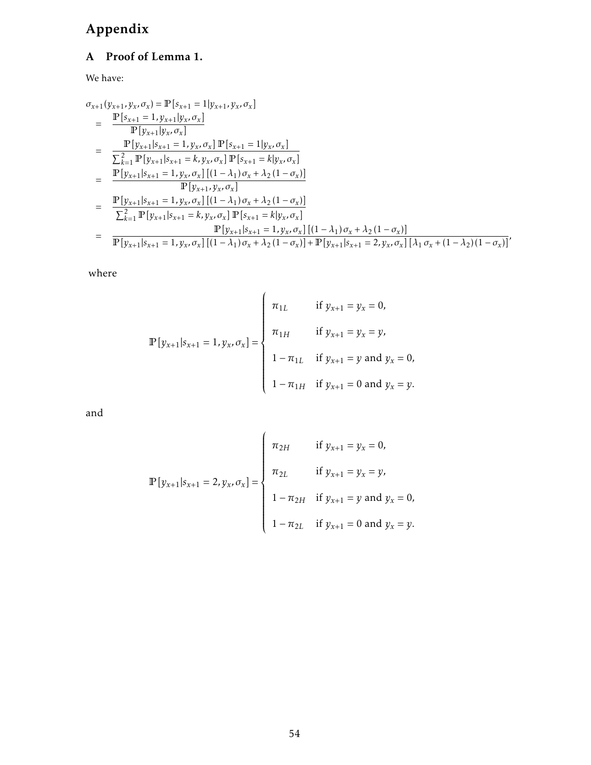# Appendix

# A Proof of Lemma 1.

We have:

$$
\sigma_{x+1}(y_{x+1}, y_x, \sigma_x) = \mathbb{P}[s_{x+1} = 1 | y_{x+1}, y_x, \sigma_x]
$$
\n
$$
= \frac{\mathbb{P}[s_{x+1} = 1, y_{x+1} | y_x, \sigma_x]}{\mathbb{P}[y_{x+1} | y_x, \sigma_x]}
$$
\n
$$
= \frac{\mathbb{P}[y_{x+1} | s_{x+1} = 1, y_x, \sigma_x] \mathbb{P}[s_{x+1} = 1 | y_x, \sigma_x]}{\sum_{k=1}^2 \mathbb{P}[y_{x+1} | s_{x+1} = k, y_x, \sigma_x] \mathbb{P}[s_{x+1} = k | y_x, \sigma_x]}
$$
\n
$$
= \frac{\mathbb{P}[y_{x+1} | s_{x+1} = 1, y_x, \sigma_x] [(1 - \lambda_1) \sigma_x + \lambda_2 (1 - \sigma_x)]}{\mathbb{P}[y_{x+1}, y_x, \sigma_x]}
$$
\n
$$
= \frac{\mathbb{P}[y_{x+1} | s_{x+1} = 1, y_x, \sigma_x] [(1 - \lambda_1) \sigma_x + \lambda_2 (1 - \sigma_x)]}{\sum_{k=1}^2 \mathbb{P}[y_{x+1} | s_{x+1} = k, y_x, \sigma_x] \mathbb{P}[s_{x+1} = k | y_x, \sigma_x]}
$$
\n
$$
= \frac{\mathbb{P}[y_{x+1} | s_{x+1} = 1, y_x, \sigma_x] [(1 - \lambda_1) \sigma_x + \lambda_2 (1 - \sigma_x)]}{\mathbb{P}[y_{x+1} | s_{x+1} = 1, y_x, \sigma_x] [(1 - \lambda_1) \sigma_x + \lambda_2 (1 - \sigma_x)] + \mathbb{P}[y_{x+1} | s_{x+1} = 2, y_x, \sigma_x] [\lambda_1 \sigma_x + (1 - \lambda_2) (1 - \sigma_x)]},
$$

where

$$
\mathbb{P}[y_{x+1}|s_{x+1} = 1, y_x, \sigma_x] = \begin{cases} \pi_{1L} & \text{if } y_{x+1} = y_x = 0, \\ \pi_{1H} & \text{if } y_{x+1} = y_x = y, \\ 1 - \pi_{1L} & \text{if } y_{x+1} = y \text{ and } y_x = 0, \\ 1 - \pi_{1H} & \text{if } y_{x+1} = 0 \text{ and } y_x = y. \end{cases}
$$

and

$$
\mathbb{P}[y_{x+1}|s_{x+1} = 2, y_x, \sigma_x] = \begin{cases} \pi_{2H} & \text{if } y_{x+1} = y_x = 0, \\ \pi_{2L} & \text{if } y_{x+1} = y_x = y, \\ 1 - \pi_{2H} & \text{if } y_{x+1} = y \text{ and } y_x = 0, \\ 1 - \pi_{2L} & \text{if } y_{x+1} = 0 \text{ and } y_x = y. \end{cases}
$$